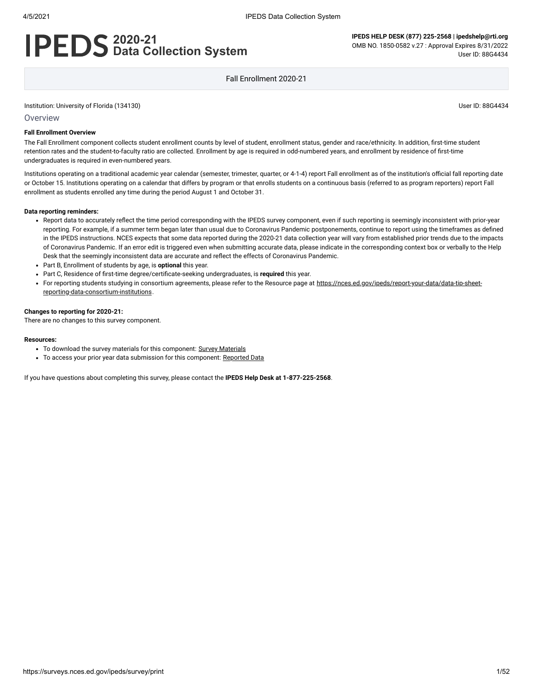# **2020-21 Data Collection System**

**IPEDS HELP DESK (877) 225-2568 | ipedshelp@rti.org** OMB NO. 1850-0582 v.27 : Approval Expires 8/31/2022 User ID: 88G4434

Fall Enrollment 2020-21

Institution: University of Florida (134130) User ID: 88G4434

Overview

#### **Fall Enrollment Overview**

The Fall Enrollment component collects student enrollment counts by level of student, enrollment status, gender and race/ethnicity. In addition, first-time student retention rates and the student-to-faculty ratio are collected. Enrollment by age is required in odd-numbered years, and enrollment by residence of first-time undergraduates is required in even-numbered years.

Institutions operating on a traditional academic year calendar (semester, trimester, quarter, or 4-1-4) report Fall enrollment as of the institution's official fall reporting date or October 15. Institutions operating on a calendar that differs by program or that enrolls students on a continuous basis (referred to as program reporters) report Fall enrollment as students enrolled any time during the period August 1 and October 31.

#### **Data reporting reminders:**

- Report data to accurately reflect the time period corresponding with the IPEDS survey component, even if such reporting is seemingly inconsistent with prior-year reporting. For example, if a summer term began later than usual due to Coronavirus Pandemic postponements, continue to report using the timeframes as defined in the IPEDS instructions. NCES expects that some data reported during the 2020-21 data collection year will vary from established prior trends due to the impacts of Coronavirus Pandemic. If an error edit is triggered even when submitting accurate data, please indicate in the corresponding context box or verbally to the Help Desk that the seemingly inconsistent data are accurate and reflect the effects of Coronavirus Pandemic.
- Part B, Enrollment of students by age, is **optional** this year.
- Part C, Residence of first-time degree/certificate-seeking undergraduates, is **required** this year.
- For reporting students studying in consortium agreements, please refer to the Resource page at [https://nces.ed.gov/ipeds/report-your-data/data-tip-sheet](https://nces.ed.gov/ipeds/report-your-data/data-tip-sheet-reporting-data-consortium-institutions)reporting-data-consortium-institutions.

#### **Changes to reporting for 2020-21:**

There are no changes to this survey component.

#### **Resources:**

- To download the survey materials for this component: Survey [Materials](https://surveys.nces.ed.gov/ipeds/public/survey-materials/index)
- To access your prior year data submission for this component: [Reported Data](https://surveys.nces.ed.gov/IPEDS_py/DataForms.aspx?f0e9e4efc4dfb8acaeafacaeaba1eef0edf1e0f4c4dfb8b1a1f0eee0edc4dfb8b3b3c2afafaeafa1f0e9e4efc9dce8e0b8d0e9e4f1e0edeee4eff49beae19bc1e7eaede4dfdca1ebedeadee0eeeeb8e0f3efe0ede9dce7a1eddfefb8afaab0aaadabadac9bacb5abafb5b0b09bcbc8)

If you have questions about completing this survey, please contact the **IPEDS Help Desk at 1-877-225-2568**.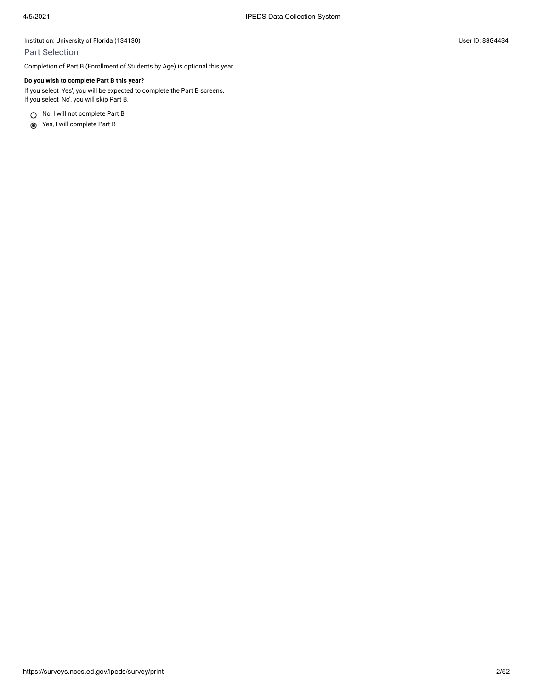### Part Selection

Completion of Part B (Enrollment of Students by Age) is optional this year.

#### **Do you wish to complete Part B this year?**

If you select 'Yes', you will be expected to complete the Part B screens. If you select 'No', you will skip Part B.

○ No, I will not complete Part B

Yes, I will complete Part B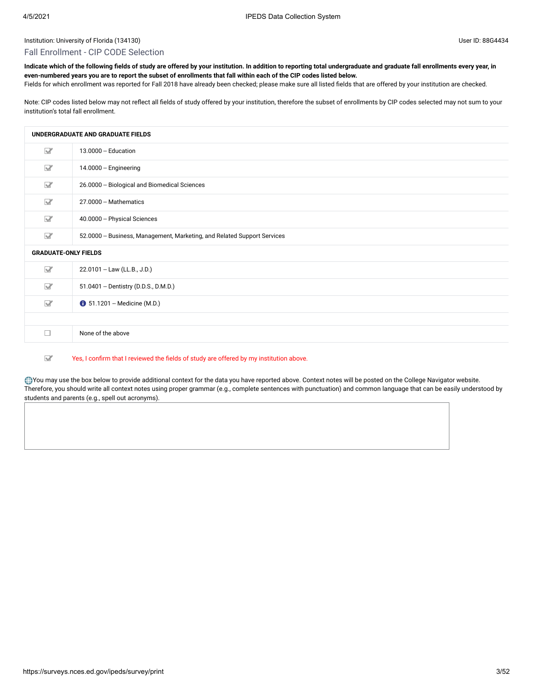#### Fall Enrollment - CIP CODE Selection

**Indicate which of the following fields of study are offered by your institution. In addition to reporting total undergraduate and graduate fall enrollments every year, in even-numbered years you are to report the subset of enrollments that fall within each of the CIP codes listed below.**

Fields for which enrollment was reported for Fall 2018 have already been checked; please make sure all listed fields that are offered by your institution are checked.

Note: CIP codes listed below may not reflect all fields of study offered by your institution, therefore the subset of enrollments by CIP codes selected may not sum to your institution's total fall enrollment.

|                             | UNDERGRADUATE AND GRADUATE FIELDS                                        |
|-----------------------------|--------------------------------------------------------------------------|
| $\triangledown$             | 13.0000 -- Education                                                     |
| $\triangledown$             | 14.0000 -- Engineering                                                   |
| $\triangledown$             | 26.0000 -- Biological and Biomedical Sciences                            |
| $\triangledown$             | 27.0000 -- Mathematics                                                   |
| $\triangledown$             | 40.0000 -- Physical Sciences                                             |
| $\triangledown$             | 52.0000 -- Business, Management, Marketing, and Related Support Services |
| <b>GRADUATE-ONLY FIELDS</b> |                                                                          |
| $\triangledown$             | 22.0101 -- Law (LL.B., J.D.)                                             |
| $\triangledown$             | 51.0401 -- Dentistry (D.D.S., D.M.D.)                                    |
| $\triangledown$             | <b>0</b> 51.1201 - Medicine (M.D.)                                       |
|                             |                                                                          |
| П                           | None of the above                                                        |
|                             |                                                                          |

 $\overline{\mathbf{M}}$ Yes, I confirm that I reviewed the fields of study are offered by my institution above.

You may use the box below to provide additional context for the data you have reported above. Context notes will be posted on the College Navigator website. Therefore, you should write all context notes using proper grammar (e.g., complete sentences with punctuation) and common language that can be easily understood by students and parents (e.g., spell out acronyms).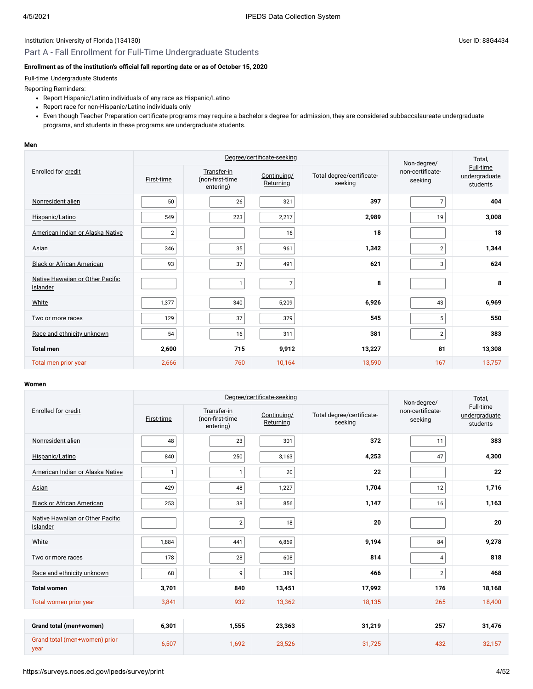## Part A - Fall Enrollment for Full-Time Undergraduate Students

### **Enrollment as of the institution's [official fall reporting date](javascript:openglossary(431)) or as of October 15, 2020**

#### [Full-time](javascript:openglossary(259)) [Undergraduate](javascript:openglossary(677)) Students

Reporting Reminders:

- Report Hispanic/Latino individuals of any race as Hispanic/Latino
- Report race for non-Hispanic/Latino individuals only
- Even though Teacher Preparation certificate programs may require a bachelor's degree for admission, they are considered subbaccalaureate undergraduate programs, and students in these programs are undergraduate students.

#### **Men**

|                                              |                | Degree/certificate-seeking                  | Non-degree/              | Total,                               |                             |                                        |
|----------------------------------------------|----------------|---------------------------------------------|--------------------------|--------------------------------------|-----------------------------|----------------------------------------|
| Enrolled for credit                          | First-time     | Transfer-in<br>(non-first-time<br>entering) | Continuing/<br>Returning | Total degree/certificate-<br>seeking | non-certificate-<br>seeking | Full-time<br>undergraduate<br>students |
| Nonresident alien                            | 50             | 26                                          | 321                      | 397                                  | $\overline{7}$              | 404                                    |
| Hispanic/Latino                              | 549            | 223                                         | 2,217                    | 2,989                                | 19                          | 3,008                                  |
| American Indian or Alaska Native             | $\overline{2}$ |                                             | 16                       | 18                                   |                             | 18                                     |
| Asian                                        | 346            | 35                                          | 961                      | 1,342                                | $\overline{2}$              | 1,344                                  |
| <b>Black or African American</b>             | 93             | 37                                          | 491                      | 621                                  | 3                           | 624                                    |
| Native Hawaiian or Other Pacific<br>Islander |                |                                             | $\overline{7}$           | 8                                    |                             | 8                                      |
| White                                        | 1,377          | 340                                         | 5,209                    | 6,926                                | 43                          | 6,969                                  |
| Two or more races                            | 129            | 37                                          | 379                      | 545                                  | 5                           | 550                                    |
| Race and ethnicity unknown                   | 54             | 16                                          | 311                      | 381                                  | $\overline{2}$              | 383                                    |
| <b>Total men</b>                             | 2,600          | 715                                         | 9,912                    | 13,227                               | 81                          | 13,308                                 |
| Total men prior year                         | 2,666          | 760                                         | 10,164                   | 13,590                               | 167                         | 13,757                                 |

|                                              |              |                                             | Degree/certificate-seeking |                                      | Non-degree/                 | Total,                                 |
|----------------------------------------------|--------------|---------------------------------------------|----------------------------|--------------------------------------|-----------------------------|----------------------------------------|
| Enrolled for credit                          | First-time   | Transfer-in<br>(non-first-time<br>entering) | Continuing/<br>Returning   | Total degree/certificate-<br>seeking | non-certificate-<br>seeking | Full-time<br>undergraduate<br>students |
| Nonresident alien                            | 48           | 23                                          | 301                        | 372                                  | 11                          | 383                                    |
| Hispanic/Latino                              | 840          | 250                                         | 3,163                      | 4,253                                | 47                          | 4,300                                  |
| American Indian or Alaska Native             | $\mathbf{1}$ | $\mathbf{1}$                                | 20                         | 22                                   |                             | 22                                     |
| Asian                                        | 429          | 48                                          | 1,227                      | 1,704                                | 12                          | 1,716                                  |
| <b>Black or African American</b>             | 253          | 38                                          | 856                        | 1,147                                | 16                          | 1,163                                  |
| Native Hawaiian or Other Pacific<br>Islander |              | $\overline{2}$                              | 18                         | 20                                   |                             | 20                                     |
| White                                        | 1,884        | 441                                         | 6,869                      | 9,194                                | 84                          | 9,278                                  |
| Two or more races                            | 178          | 28                                          | 608                        | 814                                  | 4                           | 818                                    |
| Race and ethnicity unknown                   | 68           | 9                                           | 389                        | 466                                  | $\overline{2}$              | 468                                    |
| <b>Total women</b>                           | 3,701        | 840                                         | 13,451                     | 17,992                               | 176                         | 18,168                                 |
| Total women prior year                       | 3,841        | 932                                         | 13,362                     | 18,135                               | 265                         | 18,400                                 |
|                                              |              |                                             |                            |                                      |                             |                                        |
| Grand total (men+women)                      | 6,301        | 1,555                                       | 23,363                     | 31,219                               | 257                         | 31,476                                 |
| Grand total (men+women) prior<br>year        | 6,507        | 1,692                                       | 23,526                     | 31,725                               | 432                         | 32,157                                 |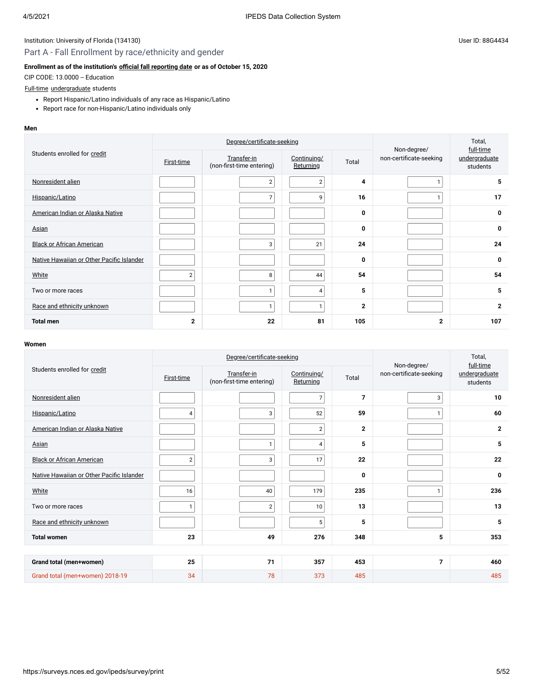## Part A - Fall Enrollment by race/ethnicity and gender

### **Enrollment as of the institution's [official fall reporting date](javascript:openglossary(431)) or as of October 15, 2020**

CIP CODE: 13.0000 -- Education

#### [Full-time](javascript:openglossary(259)) [undergraduate](javascript:openglossary(677)) students

- Report Hispanic/Latino individuals of any race as Hispanic/Latino
- Report race for non-Hispanic/Latino individuals only

#### **Men**

|                                           |                   | Degree/certificate-seeking               | Non-degree/              | Total,<br>full-time |                         |                           |
|-------------------------------------------|-------------------|------------------------------------------|--------------------------|---------------------|-------------------------|---------------------------|
| Students enrolled for credit              | <b>First-time</b> | Transfer-in<br>(non-first-time entering) | Continuing/<br>Returning | Total               | non-certificate-seeking | undergraduate<br>students |
| Nonresident alien                         |                   | $\overline{2}$                           | $\overline{2}$           | 4                   |                         | 5                         |
| Hispanic/Latino                           |                   | $\overline{7}$                           | 9                        | 16                  |                         | 17                        |
| American Indian or Alaska Native          |                   |                                          |                          | 0                   |                         | 0                         |
| <b>Asian</b>                              |                   |                                          |                          | 0                   |                         | 0                         |
| <b>Black or African American</b>          |                   | 3                                        | 21                       | 24                  |                         | 24                        |
| Native Hawaiian or Other Pacific Islander |                   |                                          |                          | 0                   |                         | 0                         |
| White                                     | 2                 | 8                                        | 44                       | 54                  |                         | 54                        |
| Two or more races                         |                   | 1                                        | 4                        | 5                   |                         | 5                         |
| Race and ethnicity unknown                |                   | 1                                        | $\mathbf{1}$             | $\mathbf{2}$        |                         | $\mathbf{2}$              |
| <b>Total men</b>                          | 2                 | 22                                       | 81                       | 105                 | $\overline{2}$          | 107                       |

|                                           |                | Degree/certificate-seeking               | Non-degree/              | Total,<br>full-time |                         |                           |
|-------------------------------------------|----------------|------------------------------------------|--------------------------|---------------------|-------------------------|---------------------------|
| Students enrolled for credit              | First-time     | Transfer-in<br>(non-first-time entering) | Continuing/<br>Returning | Total               | non-certificate-seeking | undergraduate<br>students |
| Nonresident alien                         |                |                                          | $\overline{7}$           | $\overline{7}$      | 3                       | 10                        |
| Hispanic/Latino                           | 4              | 3                                        | 52                       | 59                  | $\mathbf{1}$            | 60                        |
| American Indian or Alaska Native          |                |                                          | $\sqrt{2}$               | $\mathbf{2}$        |                         | $\mathbf{2}$              |
| Asian                                     |                | $\mathbf{1}$                             | 4                        | 5                   |                         | 5                         |
| <b>Black or African American</b>          | $\overline{2}$ | 3                                        | 17                       | 22                  |                         | 22                        |
| Native Hawaiian or Other Pacific Islander |                |                                          |                          | 0                   |                         | 0                         |
| White                                     | 16             | 40                                       | 179                      | 235                 | $\mathbf{1}$            | 236                       |
| Two or more races                         | $\mathbf{1}$   | $\sqrt{2}$                               | 10                       | 13                  |                         | 13                        |
| Race and ethnicity unknown                |                |                                          | 5                        | 5                   |                         | 5                         |
| <b>Total women</b>                        | 23             | 49                                       | 276                      | 348                 | 5                       | 353                       |
|                                           |                |                                          |                          |                     |                         |                           |
| Grand total (men+women)                   | 25             | 71                                       | 357                      | 453                 | $\overline{7}$          | 460                       |
| Grand total (men+women) 2018-19           | 34             | 78                                       | 373                      | 485                 |                         | 485                       |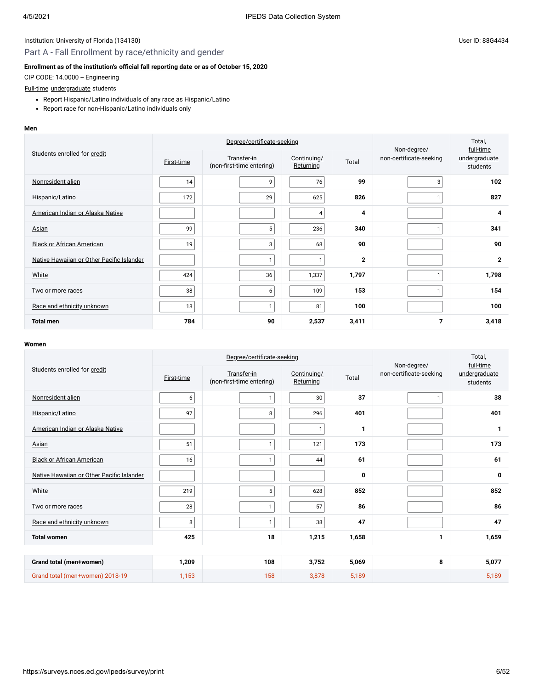## Part A - Fall Enrollment by race/ethnicity and gender

## **Enrollment as of the institution's [official fall reporting date](javascript:openglossary(431)) or as of October 15, 2020**

CIP CODE: 14.0000 -- Engineering

### [Full-time](javascript:openglossary(259)) [undergraduate](javascript:openglossary(677)) students

- Report Hispanic/Latino individuals of any race as Hispanic/Latino
- Report race for non-Hispanic/Latino individuals only

#### **Men**

| Students enrolled for credit              |            | Degree/certificate-seeking               | Non-degree/              | Total,<br>full-time |                         |                           |
|-------------------------------------------|------------|------------------------------------------|--------------------------|---------------------|-------------------------|---------------------------|
|                                           | First-time | Transfer-in<br>(non-first-time entering) | Continuing/<br>Returning | Total               | non-certificate-seeking | undergraduate<br>students |
| Nonresident alien                         | 14         | 9                                        | 76                       | 99                  | 3                       | 102                       |
| Hispanic/Latino                           | 172        | 29                                       | 625                      | 826                 |                         | 827                       |
| American Indian or Alaska Native          |            |                                          | 4                        | 4                   |                         | 4                         |
| <b>Asian</b>                              | 99         | 5                                        | 236                      | 340                 |                         | 341                       |
| <b>Black or African American</b>          | 19         | 3                                        | 68                       | 90                  |                         | 90                        |
| Native Hawaiian or Other Pacific Islander |            | $\mathbf{1}$                             | 1                        | $\mathbf{2}$        |                         | $\mathbf{2}$              |
| White                                     | 424        | 36                                       | 1,337                    | 1,797               |                         | 1,798                     |
| Two or more races                         | 38         | 6 <sup>1</sup>                           | 109                      | 153                 |                         | 154                       |
| Race and ethnicity unknown                | 18         | $\mathbf{1}$                             | 81                       | 100                 |                         | 100                       |
| <b>Total men</b>                          | 784        | 90                                       | 2,537                    | 3,411               | 7                       | 3,418                     |

|                                           |                   | Degree/certificate-seeking               | Non-degree/              | Total,<br>full-time |                         |                           |
|-------------------------------------------|-------------------|------------------------------------------|--------------------------|---------------------|-------------------------|---------------------------|
| Students enrolled for credit              | <b>First-time</b> | Transfer-in<br>(non-first-time entering) | Continuing/<br>Returning | Total               | non-certificate-seeking | undergraduate<br>students |
| Nonresident alien                         | 6                 | $\mathbf{1}$                             | 30                       | 37                  | $\mathbf{1}$            | 38                        |
| Hispanic/Latino                           | 97                | 8                                        | 296                      | 401                 |                         | 401                       |
| American Indian or Alaska Native          |                   |                                          | 1 <sub>1</sub>           | 1                   |                         | 1                         |
| Asian                                     | 51                | $\mathbf{1}$                             | 121                      | 173                 |                         | 173                       |
| <b>Black or African American</b>          | 16                | $\mathbf{1}$                             | 44                       | 61                  |                         | 61                        |
| Native Hawaiian or Other Pacific Islander |                   |                                          |                          | 0                   |                         | 0                         |
| White                                     | 219               | 5                                        | 628                      | 852                 |                         | 852                       |
| Two or more races                         | 28                | $\mathbf{1}$                             | 57                       | 86                  |                         | 86                        |
| Race and ethnicity unknown                | 8                 | $\mathbf{1}$                             | 38                       | 47                  |                         | 47                        |
| <b>Total women</b>                        | 425               | 18                                       | 1,215                    | 1,658               | 1                       | 1,659                     |
|                                           |                   |                                          |                          |                     |                         |                           |
| Grand total (men+women)                   | 1,209             | 108                                      | 3,752                    | 5,069               | 8                       | 5,077                     |
| Grand total (men+women) 2018-19           | 1,153             | 158                                      | 3,878                    | 5,189               |                         | 5,189                     |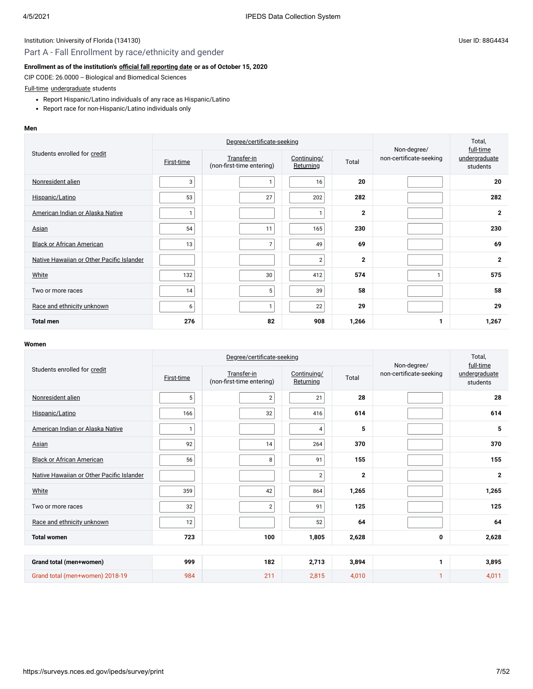## Part A - Fall Enrollment by race/ethnicity and gender

### **Enrollment as of the institution's [official fall reporting date](javascript:openglossary(431)) or as of October 15, 2020**

CIP CODE: 26.0000 -- Biological and Biomedical Sciences

## [Full-time](javascript:openglossary(259)) [undergraduate](javascript:openglossary(677)) students

- Report Hispanic/Latino individuals of any race as Hispanic/Latino
- Report race for non-Hispanic/Latino individuals only

#### **Men**

| Students enrolled for credit              |            | Degree/certificate-seeking               | Non-degree/              | Total,<br>full-time |                         |                           |
|-------------------------------------------|------------|------------------------------------------|--------------------------|---------------------|-------------------------|---------------------------|
|                                           | First-time | Transfer-in<br>(non-first-time entering) | Continuing/<br>Returning | Total               | non-certificate-seeking | undergraduate<br>students |
| Nonresident alien                         | 3          | $\mathbf{1}$                             | 16                       | 20                  |                         | 20                        |
| Hispanic/Latino                           | 53         | 27                                       | 202                      | 282                 |                         | 282                       |
| American Indian or Alaska Native          |            |                                          | 1                        | $\mathbf{2}$        |                         | $\mathbf{2}$              |
| <b>Asian</b>                              | 54         | 11                                       | 165                      | 230                 |                         | 230                       |
| <b>Black or African American</b>          | 13         | $\overline{7}$                           | 49                       | 69                  |                         | 69                        |
| Native Hawaiian or Other Pacific Islander |            |                                          | $\overline{2}$           | $\mathbf{2}$        |                         | $\mathbf{2}$              |
| White                                     | 132        | 30 <sup>°</sup>                          | 412                      | 574                 | 1                       | 575                       |
| Two or more races                         | 14         | 5 <sup>1</sup>                           | 39                       | 58                  |                         | 58                        |
| Race and ethnicity unknown                | 6          | $\mathbf{1}$                             | 22                       | 29                  |                         | 29                        |
| <b>Total men</b>                          | 276        | 82                                       | 908                      | 1,266               | 1                       | 1,267                     |

|                                           |                   | Degree/certificate-seeking               | Non-degree/              | Total,<br>full-time |                         |                           |
|-------------------------------------------|-------------------|------------------------------------------|--------------------------|---------------------|-------------------------|---------------------------|
| Students enrolled for credit              | <b>First-time</b> | Transfer-in<br>(non-first-time entering) | Continuing/<br>Returning | Total               | non-certificate-seeking | undergraduate<br>students |
| Nonresident alien                         | 5                 | $\overline{2}$                           | 21                       | 28                  |                         | 28                        |
| Hispanic/Latino                           | 166               | 32                                       | 416                      | 614                 |                         | 614                       |
| American Indian or Alaska Native          | $\mathbf{1}$      |                                          | $\overline{4}$           | 5                   |                         | 5                         |
| Asian                                     | 92                | 14                                       | 264                      | 370                 |                         | 370                       |
| <b>Black or African American</b>          | 56                | 8                                        | 91                       | 155                 |                         | 155                       |
| Native Hawaiian or Other Pacific Islander |                   |                                          | $\overline{2}$           | $\mathbf{2}$        |                         | $\mathbf{2}$              |
| White                                     | 359               | 42                                       | 864                      | 1,265               |                         | 1,265                     |
| Two or more races                         | 32                | $\overline{2}$                           | 91                       | 125                 |                         | 125                       |
| Race and ethnicity unknown                | 12                |                                          | 52                       | 64                  |                         | 64                        |
| <b>Total women</b>                        | 723               | 100                                      | 1,805                    | 2,628               | 0                       | 2,628                     |
|                                           |                   |                                          |                          |                     |                         |                           |
| Grand total (men+women)                   | 999               | 182                                      | 2,713                    | 3,894               | 1                       | 3,895                     |
| Grand total (men+women) 2018-19           | 984               | 211                                      | 2,815                    | 4,010               | 1                       | 4,011                     |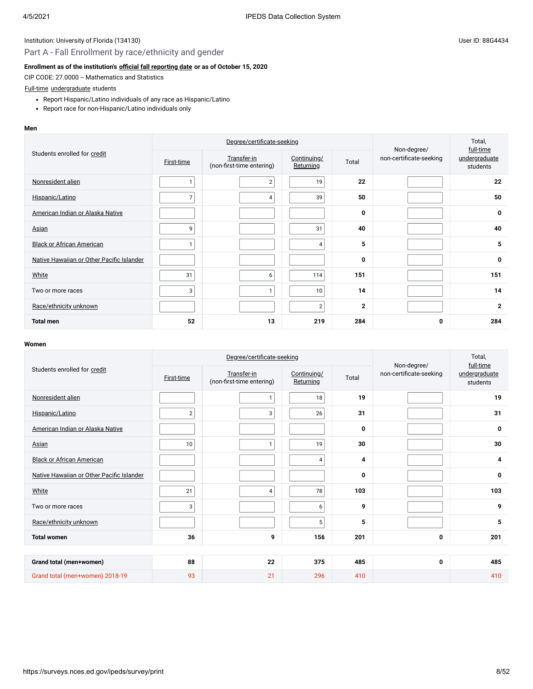## Part A - Fall Enrollment by race/ethnicity and gender

### **Enrollment as of the institution's [official fall reporting date](javascript:openglossary(431)) or as of October 15, 2020**

CIP CODE: 27.0000 -- Mathematics and Statistics

### [Full-time](javascript:openglossary(259)) [undergraduate](javascript:openglossary(677)) students

- Report Hispanic/Latino individuals of any race as Hispanic/Latino
- Report race for non-Hispanic/Latino individuals only

#### **Men**

| Students enrolled for credit              |                   | Degree/certificate-seeking               | Non-degree/              | Total,<br>full-time |                         |                           |
|-------------------------------------------|-------------------|------------------------------------------|--------------------------|---------------------|-------------------------|---------------------------|
|                                           | <b>First-time</b> | Transfer-in<br>(non-first-time entering) | Continuing/<br>Returning | Total               | non-certificate-seeking | undergraduate<br>students |
| Nonresident alien                         |                   | $\overline{2}$                           | 19                       | 22                  |                         | 22                        |
| Hispanic/Latino                           | 7                 | 4                                        | 39                       | 50                  |                         | 50                        |
| American Indian or Alaska Native          |                   |                                          |                          | 0                   |                         | 0                         |
| <b>Asian</b>                              | 9                 |                                          | 31                       | 40                  |                         | 40                        |
| <b>Black or African American</b>          |                   |                                          | $\overline{4}$           | 5                   |                         | 5                         |
| Native Hawaiian or Other Pacific Islander |                   |                                          |                          | 0                   |                         | 0                         |
| White                                     | 31                | 6                                        | 114                      | 151                 |                         | 151                       |
| Two or more races                         | 3                 | 1                                        | 10                       | 14                  |                         | 14                        |
| Race/ethnicity unknown                    |                   |                                          | $\overline{2}$           | $\mathbf{2}$        |                         | $\mathbf{2}$              |
| <b>Total men</b>                          | 52                | 13                                       | 219                      | 284                 | 0                       | 284                       |

|                                           |                   | Degree/certificate-seeking               | Non-degree/              | Total,<br>full-time |                         |                           |
|-------------------------------------------|-------------------|------------------------------------------|--------------------------|---------------------|-------------------------|---------------------------|
| Students enrolled for credit              | <b>First-time</b> | Transfer-in<br>(non-first-time entering) | Continuing/<br>Returning | Total               | non-certificate-seeking | undergraduate<br>students |
| Nonresident alien                         |                   | $\mathbf{1}$                             | 18                       | 19                  |                         | 19                        |
| Hispanic/Latino                           | $\overline{2}$    | 3                                        | 26                       | 31                  |                         | 31                        |
| American Indian or Alaska Native          |                   |                                          |                          | 0                   |                         | 0                         |
| Asian                                     | 10                | $\mathbf{1}$                             | 19                       | 30                  |                         | 30                        |
| <b>Black or African American</b>          |                   |                                          | 4                        | 4                   |                         | 4                         |
| Native Hawaiian or Other Pacific Islander |                   |                                          |                          | 0                   |                         | 0                         |
| White                                     | 21                | $\overline{4}$                           | 78                       | 103                 |                         | 103                       |
| Two or more races                         | 3                 |                                          | 6                        | 9                   |                         | 9                         |
| Race/ethnicity unknown                    |                   |                                          | 5                        | 5                   |                         | 5                         |
| <b>Total women</b>                        | 36                | 9                                        | 156                      | 201                 | 0                       | 201                       |
|                                           |                   |                                          |                          |                     |                         |                           |
| Grand total (men+women)                   | 88                | 22                                       | 375                      | 485                 | 0                       | 485                       |
| Grand total (men+women) 2018-19           | 93                | 21                                       | 296                      | 410                 |                         | 410                       |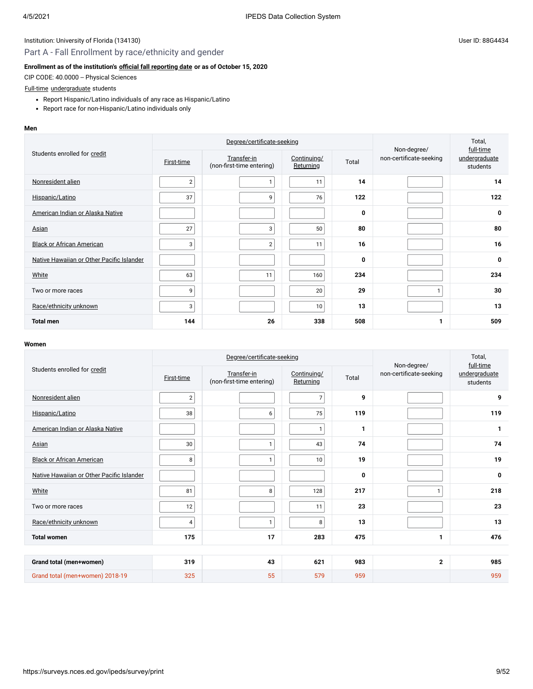## Part A - Fall Enrollment by race/ethnicity and gender

### **Enrollment as of the institution's [official fall reporting date](javascript:openglossary(431)) or as of October 15, 2020**

CIP CODE: 40.0000 -- Physical Sciences

## [Full-time](javascript:openglossary(259)) [undergraduate](javascript:openglossary(677)) students

- Report Hispanic/Latino individuals of any race as Hispanic/Latino
- Report race for non-Hispanic/Latino individuals only

#### **Men**

|                                           |                | Degree/certificate-seeking               | Non-degree/              | Total,<br>full-time |                         |                           |
|-------------------------------------------|----------------|------------------------------------------|--------------------------|---------------------|-------------------------|---------------------------|
| Students enrolled for credit              | First-time     | Transfer-in<br>(non-first-time entering) | Continuing/<br>Returning | Total               | non-certificate-seeking | undergraduate<br>students |
| Nonresident alien                         | $\overline{2}$ | $\mathbf{1}$                             | 11                       | 14                  |                         | 14                        |
| Hispanic/Latino                           | 37             | 9                                        | 76                       | 122                 |                         | 122                       |
| American Indian or Alaska Native          |                |                                          |                          | $\mathbf 0$         |                         | 0                         |
| <b>Asian</b>                              | 27             | 3                                        | 50                       | 80                  |                         | 80                        |
| <b>Black or African American</b>          | 3              | $\overline{2}$                           | 11                       | 16                  |                         | 16                        |
| Native Hawaiian or Other Pacific Islander |                |                                          |                          | $\mathbf 0$         |                         | 0                         |
| White                                     | 63             | 11                                       | 160                      | 234                 |                         | 234                       |
| Two or more races                         | 9              |                                          | 20                       | 29                  | 1                       | 30                        |
| Race/ethnicity unknown                    | 3              |                                          | 10 <sup>°</sup>          | 13                  |                         | 13                        |
| <b>Total men</b>                          | 144            | 26                                       | 338                      | 508                 | 1                       | 509                       |

|                                           |                   | Degree/certificate-seeking               | Non-degree/              | Total,<br>full-time |                         |                           |
|-------------------------------------------|-------------------|------------------------------------------|--------------------------|---------------------|-------------------------|---------------------------|
| Students enrolled for credit              | <b>First-time</b> | Transfer-in<br>(non-first-time entering) | Continuing/<br>Returning | Total               | non-certificate-seeking | undergraduate<br>students |
| Nonresident alien                         | $\overline{2}$    |                                          | 7                        | 9                   |                         | 9                         |
| Hispanic/Latino                           | 38                | 6                                        | 75                       | 119                 |                         | 119                       |
| American Indian or Alaska Native          |                   |                                          | $\mathbf{1}$             | 1                   |                         | 1                         |
| Asian                                     | 30                | $\mathbf{1}$                             | 43                       | 74                  |                         | 74                        |
| <b>Black or African American</b>          | 8                 | $\mathbf{1}$                             | 10                       | 19                  |                         | 19                        |
| Native Hawaiian or Other Pacific Islander |                   |                                          |                          | 0                   |                         | 0                         |
| White                                     | 81                | 8                                        | 128                      | 217                 | $\mathbf{1}$            | 218                       |
| Two or more races                         | 12                |                                          | 11                       | 23                  |                         | 23                        |
| Race/ethnicity unknown                    | 4                 | $\mathbf{1}$                             | 8                        | 13                  |                         | 13                        |
| <b>Total women</b>                        | 175               | 17                                       | 283                      | 475                 | 1                       | 476                       |
|                                           |                   |                                          |                          |                     |                         |                           |
| Grand total (men+women)                   | 319               | 43                                       | 621                      | 983                 | $\overline{2}$          | 985                       |
| Grand total (men+women) 2018-19           | 325               | 55                                       | 579                      | 959                 |                         | 959                       |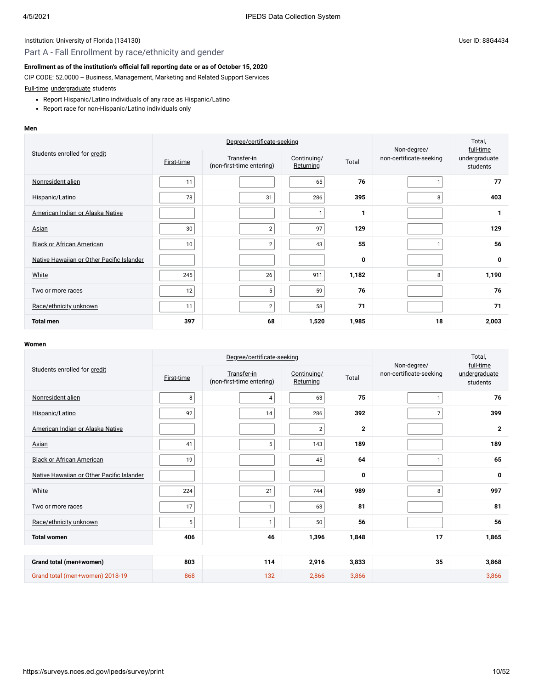## Part A - Fall Enrollment by race/ethnicity and gender

#### **Enrollment as of the institution's [official fall reporting date](javascript:openglossary(431)) or as of October 15, 2020**

CIP CODE: 52.0000 -- Business, Management, Marketing and Related Support Services

[Full-time](javascript:openglossary(259)) [undergraduate](javascript:openglossary(677)) students

- Report Hispanic/Latino individuals of any race as Hispanic/Latino
- Report race for non-Hispanic/Latino individuals only

#### **Men**

|                                           |                   | Degree/certificate-seeking               |                          | Non-degree/ | Total,<br>full-time     |                           |
|-------------------------------------------|-------------------|------------------------------------------|--------------------------|-------------|-------------------------|---------------------------|
| Students enrolled for credit              | <b>First-time</b> | Transfer-in<br>(non-first-time entering) | Continuing/<br>Returning | Total       | non-certificate-seeking | undergraduate<br>students |
| Nonresident alien                         | 11                |                                          | 65                       | 76          | п                       | 77                        |
| Hispanic/Latino                           | 78                | 31                                       | 286                      | 395         | 8                       | 403                       |
| American Indian or Alaska Native          |                   |                                          | 1                        | 1           |                         | 1                         |
| <b>Asian</b>                              | 30                | $\overline{2}$                           | 97                       | 129         |                         | 129                       |
| <b>Black or African American</b>          | 10                | $\overline{2}$                           | 43                       | 55          |                         | 56                        |
| Native Hawaiian or Other Pacific Islander |                   |                                          |                          | 0           |                         | 0                         |
| White                                     | 245               | 26                                       | 911                      | 1,182       | 8                       | 1,190                     |
| Two or more races                         | 12                | 5 <sup>5</sup>                           | 59                       | 76          |                         | 76                        |
| Race/ethnicity unknown                    | 11                | 2 <sup>1</sup>                           | 58                       | 71          |                         | 71                        |
| <b>Total men</b>                          | 397               | 68                                       | 1,520                    | 1,985       | 18                      | 2,003                     |

|                                           |                   | Degree/certificate-seeking               | Non-degree/              | Total,<br>full-time |                         |                           |  |  |
|-------------------------------------------|-------------------|------------------------------------------|--------------------------|---------------------|-------------------------|---------------------------|--|--|
| Students enrolled for credit              | <b>First-time</b> | Transfer-in<br>(non-first-time entering) | Continuing/<br>Returning | Total               | non-certificate-seeking | undergraduate<br>students |  |  |
| Nonresident alien                         | 8                 | $\overline{4}$                           | 63                       | 75                  | $\mathbf{1}$            | 76                        |  |  |
| Hispanic/Latino                           | 92                | 14                                       | 286                      | 392                 | $\overline{7}$          | 399                       |  |  |
| American Indian or Alaska Native          |                   |                                          | $\sqrt{2}$               | $\overline{2}$      |                         | $\mathbf{2}$              |  |  |
| Asian                                     | 41                | 5                                        | 143                      | 189                 |                         | 189                       |  |  |
| <b>Black or African American</b>          | 19                |                                          | 45                       | 64                  | $\mathbf{1}$            | 65                        |  |  |
| Native Hawaiian or Other Pacific Islander |                   |                                          |                          | 0                   |                         | 0                         |  |  |
| White                                     | 224               | 21                                       | 744                      | 989                 | 8                       | 997                       |  |  |
| Two or more races                         | 17                | $\mathbf{1}$                             | 63                       | 81                  |                         | 81                        |  |  |
| Race/ethnicity unknown                    | 5                 | $\mathbf{1}$                             | 50                       | 56                  |                         | 56                        |  |  |
| <b>Total women</b>                        | 406               | 46                                       | 1,396                    | 1,848               | 17                      | 1,865                     |  |  |
|                                           |                   |                                          |                          |                     |                         |                           |  |  |
| Grand total (men+women)                   | 803               | 114                                      | 2,916                    | 3,833               | 35                      | 3,868                     |  |  |
| Grand total (men+women) 2018-19           | 868               | 132                                      | 2,866                    | 3,866               |                         | 3,866                     |  |  |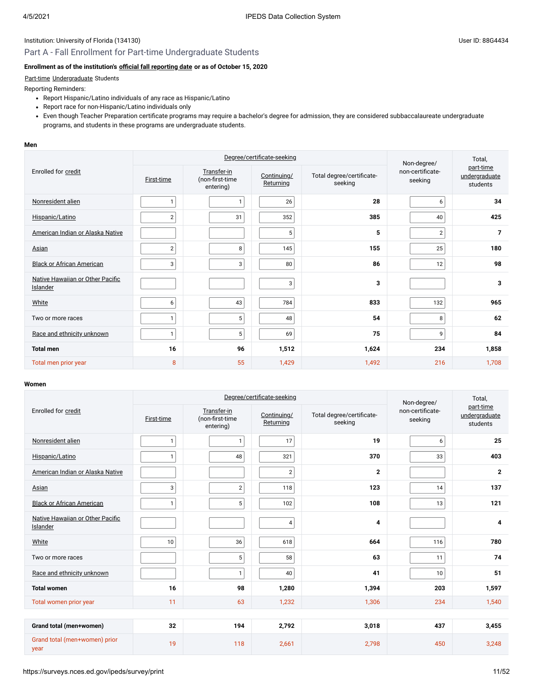## Part A - Fall Enrollment for Part-time Undergraduate Students

### **Enrollment as of the institution's [official fall reporting date](javascript:openglossary(431)) or as of October 15, 2020**

#### [Part-time](javascript:openglossary(469)) [Undergraduate](javascript:openglossary(677)) Students

Reporting Reminders:

- Report Hispanic/Latino individuals of any race as Hispanic/Latino
- Report race for non-Hispanic/Latino individuals only
- Even though Teacher Preparation certificate programs may require a bachelor's degree for admission, they are considered subbaccalaureate undergraduate programs, and students in these programs are undergraduate students.

#### **Men**

|                                              |                | Degree/certificate-seeking                  |                          | Non-degree/                          | Total,                      |                                        |
|----------------------------------------------|----------------|---------------------------------------------|--------------------------|--------------------------------------|-----------------------------|----------------------------------------|
| Enrolled for credit                          | First-time     | Transfer-in<br>(non-first-time<br>entering) | Continuing/<br>Returning | Total degree/certificate-<br>seeking | non-certificate-<br>seeking | part-time<br>undergraduate<br>students |
| Nonresident alien                            | $\mathbf{1}$   |                                             | 26                       | 28                                   | 6                           | 34                                     |
| Hispanic/Latino                              | $\overline{2}$ | 31                                          | 352                      | 385                                  | 40                          | 425                                    |
| American Indian or Alaska Native             |                |                                             | 5                        | 5                                    | $\sqrt{2}$                  | $\overline{7}$                         |
| Asian                                        | $\overline{2}$ | 8                                           | 145                      | 155                                  | 25                          | 180                                    |
| <b>Black or African American</b>             | 3              | 3                                           | 80                       | 86                                   | 12                          | 98                                     |
| Native Hawaiian or Other Pacific<br>Islander |                |                                             | 3                        | 3                                    |                             | 3                                      |
| White                                        | 6              | 43                                          | 784                      | 833                                  | 132                         | 965                                    |
| Two or more races                            | $\mathbf{1}$   | 5                                           | 48                       | 54                                   | 8                           | 62                                     |
| Race and ethnicity unknown                   | $\mathbf{1}$   | 5                                           | 69                       | 75                                   | 9                           | 84                                     |
| <b>Total men</b>                             | 16             | 96                                          | 1,512                    | 1,624                                | 234                         | 1,858                                  |
| Total men prior year                         | 8              | 55                                          | 1,429                    | 1,492                                | 216                         | 1,708                                  |

|                                              |              |                                             | Degree/certificate-seeking |                                      | Non-degree/                 | Total,                                 |  |  |
|----------------------------------------------|--------------|---------------------------------------------|----------------------------|--------------------------------------|-----------------------------|----------------------------------------|--|--|
| Enrolled for credit                          | First-time   | Transfer-in<br>(non-first-time<br>entering) | Continuing/<br>Returning   | Total degree/certificate-<br>seeking | non-certificate-<br>seeking | part-time<br>undergraduate<br>students |  |  |
| Nonresident alien                            | 1            | $\mathbf{1}$                                | 17                         | 19                                   | 6                           | 25                                     |  |  |
| Hispanic/Latino                              | 1            | 48                                          | 321                        | 370                                  | 33                          | 403                                    |  |  |
| American Indian or Alaska Native             |              |                                             | $\overline{2}$             | $\overline{2}$                       |                             | $\mathbf{2}$                           |  |  |
| Asian                                        | 3            | $\overline{2}$                              | 118                        | 123                                  | 14                          | 137                                    |  |  |
| <b>Black or African American</b>             | $\mathbf{1}$ | 5                                           | 102                        | 108                                  | 13                          | 121                                    |  |  |
| Native Hawaiian or Other Pacific<br>Islander |              |                                             | $\overline{4}$             | 4                                    |                             | 4                                      |  |  |
| White                                        | 10           | 36                                          | 618                        | 664                                  | 116                         | 780                                    |  |  |
| Two or more races                            |              | $5\phantom{.0}$                             | 58                         | 63                                   | 11                          | 74                                     |  |  |
| Race and ethnicity unknown                   |              | $\mathbf{1}$                                | 40                         | 41                                   | 10                          | 51                                     |  |  |
| <b>Total women</b>                           | 16           | 98                                          | 1,280                      | 1,394                                | 203                         | 1,597                                  |  |  |
| Total women prior year                       | 11           | 63                                          | 1,232                      | 1,306                                | 234                         | 1,540                                  |  |  |
|                                              |              |                                             |                            |                                      |                             |                                        |  |  |
| Grand total (men+women)                      | 32           | 194                                         | 2,792                      | 3,018                                | 437                         | 3,455                                  |  |  |
| Grand total (men+women) prior<br>year        | 19           | 118                                         | 2,661                      | 2,798                                | 450                         | 3,248                                  |  |  |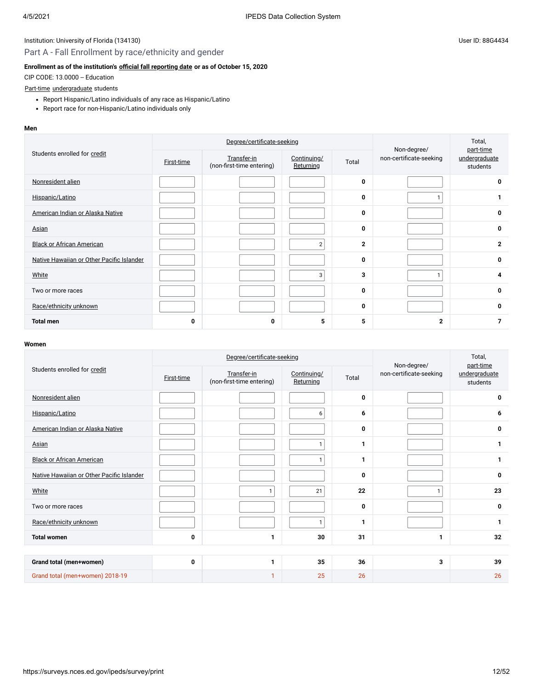## Part A - Fall Enrollment by race/ethnicity and gender

### **Enrollment as of the institution's [official fall reporting date](javascript:openglossary(431)) or as of October 15, 2020**

CIP CODE: 13.0000 -- Education

#### [Part-time](javascript:openglossary(469)) [undergraduate](javascript:openglossary(677)) students

- Report Hispanic/Latino individuals of any race as Hispanic/Latino
- Report race for non-Hispanic/Latino individuals only

#### **Men**

|                                           |            | Degree/certificate-seeking               | Non-degree/              | Total,<br>part-time |                         |                           |
|-------------------------------------------|------------|------------------------------------------|--------------------------|---------------------|-------------------------|---------------------------|
| Students enrolled for credit              | First-time | Transfer-in<br>(non-first-time entering) | Continuing/<br>Returning | Total               | non-certificate-seeking | undergraduate<br>students |
| Nonresident alien                         |            |                                          |                          | 0                   |                         | 0                         |
| Hispanic/Latino                           |            |                                          |                          | 0                   |                         | 1                         |
| American Indian or Alaska Native          |            |                                          |                          | 0                   |                         | 0                         |
| Asian                                     |            |                                          |                          | 0                   |                         | 0                         |
| <b>Black or African American</b>          |            |                                          | $\overline{2}$           | $\overline{2}$      |                         | $\mathbf{2}$              |
| Native Hawaiian or Other Pacific Islander |            |                                          |                          | 0                   |                         | 0                         |
| White                                     |            |                                          | 3                        | 3                   |                         | 4                         |
| Two or more races                         |            |                                          |                          | 0                   |                         | 0                         |
| Race/ethnicity unknown                    |            |                                          |                          | 0                   |                         | 0                         |
| <b>Total men</b>                          | 0          | 0                                        | 5                        | 5                   | $\overline{2}$          | $\overline{7}$            |

|                                           |            | Degree/certificate-seeking               | Non-degree/              | Total,<br>part-time |                         |                           |
|-------------------------------------------|------------|------------------------------------------|--------------------------|---------------------|-------------------------|---------------------------|
| Students enrolled for credit              | First-time | Transfer-in<br>(non-first-time entering) | Continuing/<br>Returning | Total               | non-certificate-seeking | undergraduate<br>students |
| Nonresident alien                         |            |                                          |                          | $\mathbf{0}$        |                         | 0                         |
| Hispanic/Latino                           |            |                                          | 6                        | 6                   |                         | 6                         |
| American Indian or Alaska Native          |            |                                          |                          | 0                   |                         | 0                         |
| Asian                                     |            |                                          | $\mathbf{1}$             | 1                   |                         | 1                         |
| <b>Black or African American</b>          |            |                                          | $\mathbf{1}$             | 1                   |                         | 1                         |
| Native Hawaiian or Other Pacific Islander |            |                                          |                          | 0                   |                         | 0                         |
| White                                     |            | 1                                        | 21                       | 22                  | $\mathbf{1}$            | 23                        |
| Two or more races                         |            |                                          |                          | 0                   |                         | 0                         |
| Race/ethnicity unknown                    |            |                                          | $\mathbf{1}$             | 1                   |                         | $\mathbf{1}$              |
| <b>Total women</b>                        | 0          | 1                                        | 30                       | 31                  | 1                       | 32                        |
|                                           |            |                                          |                          |                     |                         |                           |
| Grand total (men+women)                   | 0          | 1                                        | 35                       | 36                  | 3                       | 39                        |
| Grand total (men+women) 2018-19           |            | 1                                        | 25                       | 26                  |                         | 26                        |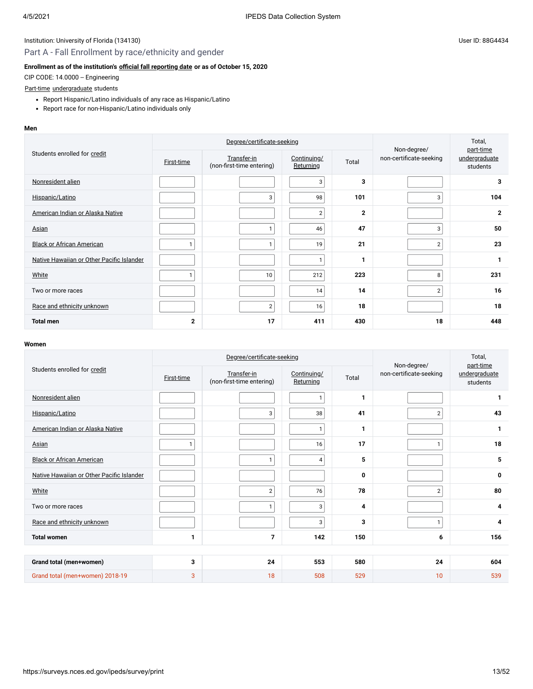## Part A - Fall Enrollment by race/ethnicity and gender

### **Enrollment as of the institution's [official fall reporting date](javascript:openglossary(431)) or as of October 15, 2020**

CIP CODE: 14.0000 -- Engineering

#### [Part-time](javascript:openglossary(469)) [undergraduate](javascript:openglossary(677)) students

- Report Hispanic/Latino individuals of any race as Hispanic/Latino
- Report race for non-Hispanic/Latino individuals only

#### **Men**

|                                           |            | Degree/certificate-seeking               | Non-degree/              | Total,<br>part-time |                         |                           |
|-------------------------------------------|------------|------------------------------------------|--------------------------|---------------------|-------------------------|---------------------------|
| Students enrolled for credit              | First-time | Transfer-in<br>(non-first-time entering) | Continuing/<br>Returning | Total               | non-certificate-seeking | undergraduate<br>students |
| Nonresident alien                         |            |                                          | 3                        | 3                   |                         | 3                         |
| Hispanic/Latino                           |            | 3                                        | 98                       | 101                 | 3                       | 104                       |
| American Indian or Alaska Native          |            |                                          | 2 <sub>1</sub>           | $\mathbf{2}$        |                         | $\overline{2}$            |
| <b>Asian</b>                              |            | 1                                        | 46                       | 47                  | 3                       | 50                        |
| <b>Black or African American</b>          |            | $\mathbf{1}$                             | 19                       | 21                  | $\overline{2}$          | 23                        |
| Native Hawaiian or Other Pacific Islander |            |                                          | 1                        | 1                   |                         | $\mathbf{1}$              |
| White                                     |            | 10                                       | 212                      | 223                 | 8                       | 231                       |
| Two or more races                         |            |                                          | 14 <sub>1</sub>          | 14                  | $\overline{2}$          | 16                        |
| Race and ethnicity unknown                |            | 2 <sub>1</sub>                           | 16                       | 18                  |                         | 18                        |
| <b>Total men</b>                          | 2          | 17                                       | 411                      | 430                 | 18                      | 448                       |

|                                           |            | Degree/certificate-seeking               | Non-degree/              | Total,<br>part-time |                         |                           |  |  |
|-------------------------------------------|------------|------------------------------------------|--------------------------|---------------------|-------------------------|---------------------------|--|--|
| Students enrolled for credit              | First-time | Transfer-in<br>(non-first-time entering) | Continuing/<br>Returning | Total               | non-certificate-seeking | undergraduate<br>students |  |  |
| Nonresident alien                         |            |                                          | $\mathbf{1}$             | 1                   |                         | 1                         |  |  |
| Hispanic/Latino                           |            | 3                                        | 38                       | 41                  | $\sqrt{2}$              | 43                        |  |  |
| American Indian or Alaska Native          |            |                                          | 1.                       | 1                   |                         | $\mathbf{1}$              |  |  |
| Asian                                     | 1          |                                          | 16                       | 17                  | $\mathbf{1}$            | 18                        |  |  |
| <b>Black or African American</b>          |            | $\mathbf{1}$                             | $\overline{4}$           | 5                   |                         | 5                         |  |  |
| Native Hawaiian or Other Pacific Islander |            |                                          |                          | 0                   |                         | 0                         |  |  |
| White                                     |            | $\sqrt{2}$                               | 76                       | 78                  | $\overline{2}$          | 80                        |  |  |
| Two or more races                         |            | $\mathbf{1}$                             | 3                        | 4                   |                         | 4                         |  |  |
| Race and ethnicity unknown                |            |                                          | 3                        | 3                   | $\mathbf{1}$            | 4                         |  |  |
| <b>Total women</b>                        | 1          | $\overline{7}$                           | 142                      | 150                 | 6                       | 156                       |  |  |
|                                           |            |                                          |                          |                     |                         |                           |  |  |
| Grand total (men+women)                   | 3          | 24                                       | 553                      | 580                 | 24                      | 604                       |  |  |
| Grand total (men+women) 2018-19           | 3          | 18                                       | 508                      | 529                 | 10                      | 539                       |  |  |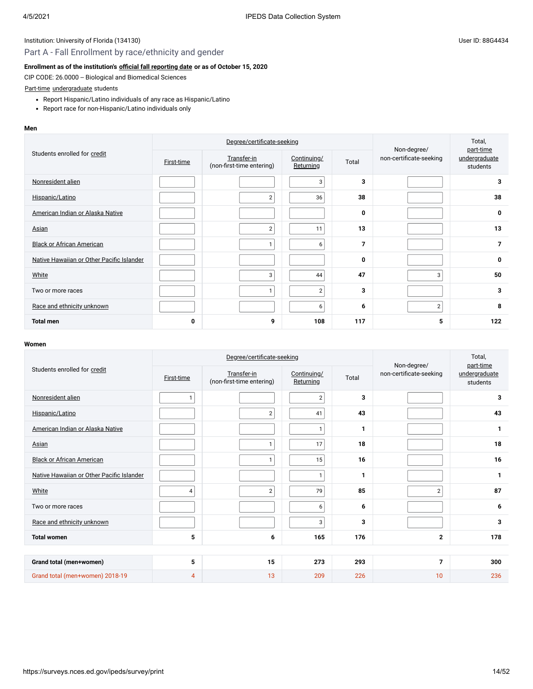## Part A - Fall Enrollment by race/ethnicity and gender

### **Enrollment as of the institution's [official fall reporting date](javascript:openglossary(431)) or as of October 15, 2020**

CIP CODE: 26.0000 -- Biological and Biomedical Sciences

### [Part-time](javascript:openglossary(469)) [undergraduate](javascript:openglossary(677)) students

- Report Hispanic/Latino individuals of any race as Hispanic/Latino
- Report race for non-Hispanic/Latino individuals only

#### **Men**

|                                           |                   | Degree/certificate-seeking               |                          | Non-degree/ | Total,<br>part-time     |                           |
|-------------------------------------------|-------------------|------------------------------------------|--------------------------|-------------|-------------------------|---------------------------|
| Students enrolled for credit              | <b>First-time</b> | Transfer-in<br>(non-first-time entering) | Continuing/<br>Returning | Total       | non-certificate-seeking | undergraduate<br>students |
| Nonresident alien                         |                   |                                          | 3                        | 3           |                         | 3                         |
| Hispanic/Latino                           |                   | $\overline{2}$                           | 36                       | 38          |                         | 38                        |
| American Indian or Alaska Native          |                   |                                          |                          | 0           |                         | 0                         |
| <b>Asian</b>                              |                   | $\overline{2}$                           | 11                       | 13          |                         | 13                        |
| <b>Black or African American</b>          |                   | $\mathbf{1}$                             | 6                        | 7           |                         | $\overline{7}$            |
| Native Hawaiian or Other Pacific Islander |                   |                                          |                          | 0           |                         | 0                         |
| White                                     |                   | 3                                        | 44                       | 47          | 3                       | 50                        |
| Two or more races                         |                   | 1                                        | 2 <sub>1</sub>           | 3           |                         | 3                         |
| Race and ethnicity unknown                |                   |                                          | 6                        | 6           | $\overline{2}$          | 8                         |
| <b>Total men</b>                          | 0                 | 9                                        | 108                      | 117         | 5                       | 122                       |

|                                           |                | Degree/certificate-seeking               | Non-degree/              | Total,<br>part-time |                         |                           |
|-------------------------------------------|----------------|------------------------------------------|--------------------------|---------------------|-------------------------|---------------------------|
| Students enrolled for credit              | First-time     | Transfer-in<br>(non-first-time entering) | Continuing/<br>Returning | Total               | non-certificate-seeking | undergraduate<br>students |
| Nonresident alien                         | $\mathbf{1}$   |                                          | $\overline{2}$           | 3                   |                         | 3                         |
| Hispanic/Latino                           |                | $\sqrt{2}$                               | 41                       | 43                  |                         | 43                        |
| American Indian or Alaska Native          |                |                                          | $\mathbf{1}$             | 1                   |                         | $\mathbf{1}$              |
| Asian                                     |                | $\mathbf{1}$                             | 17                       | 18                  |                         | 18                        |
| <b>Black or African American</b>          |                | $\mathbf{1}$                             | 15                       | 16                  |                         | 16                        |
| Native Hawaiian or Other Pacific Islander |                |                                          | $\mathbf{1}$             | 1                   |                         | $\mathbf{1}$              |
| White                                     | 4              | $\overline{2}$                           | 79                       | 85                  | $\overline{2}$          | 87                        |
| Two or more races                         |                |                                          | 6                        | 6                   |                         | 6                         |
| Race and ethnicity unknown                |                |                                          | 3                        | 3                   |                         | 3                         |
| <b>Total women</b>                        | 5              | 6                                        | 165                      | 176                 | $\overline{2}$          | 178                       |
|                                           |                |                                          |                          |                     |                         |                           |
| Grand total (men+women)                   | 5              | 15                                       | 273                      | 293                 | $\overline{7}$          | 300                       |
| Grand total (men+women) 2018-19           | $\overline{4}$ | 13                                       | 209                      | 226                 | 10                      | 236                       |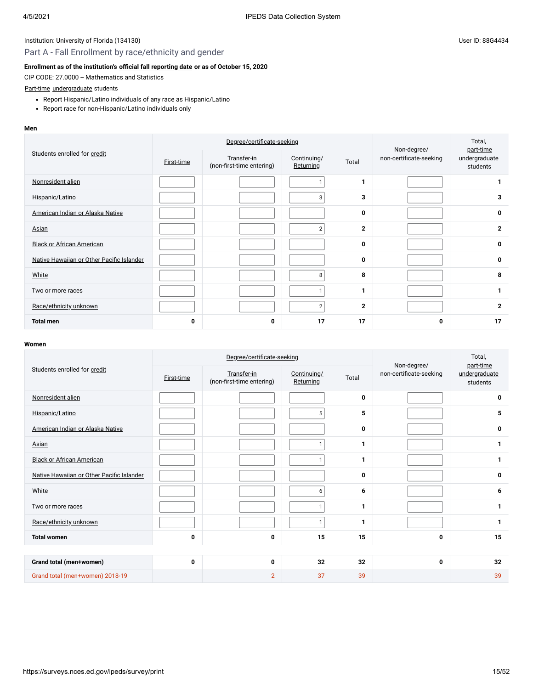## Part A - Fall Enrollment by race/ethnicity and gender

#### **Enrollment as of the institution's [official fall reporting date](javascript:openglossary(431)) or as of October 15, 2020**

CIP CODE: 27.0000 -- Mathematics and Statistics

#### [Part-time](javascript:openglossary(469)) [undergraduate](javascript:openglossary(677)) students

- Report Hispanic/Latino individuals of any race as Hispanic/Latino
- Report race for non-Hispanic/Latino individuals only

#### **Men**

|                                           |            | Degree/certificate-seeking               | Non-degree/              | Total,<br>part-time |                         |                           |
|-------------------------------------------|------------|------------------------------------------|--------------------------|---------------------|-------------------------|---------------------------|
| Students enrolled for credit              | First-time | Transfer-in<br>(non-first-time entering) | Continuing/<br>Returning | Total               | non-certificate-seeking | undergraduate<br>students |
| Nonresident alien                         |            |                                          | 1.                       | 1                   |                         |                           |
| Hispanic/Latino                           |            |                                          | 3                        | 3                   |                         | 3                         |
| American Indian or Alaska Native          |            |                                          |                          | 0                   |                         | 0                         |
| Asian                                     |            |                                          | $\overline{2}$           | $\mathbf{2}$        |                         | $\mathbf{2}$              |
| <b>Black or African American</b>          |            |                                          |                          | 0                   |                         | 0                         |
| Native Hawaiian or Other Pacific Islander |            |                                          |                          | 0                   |                         | 0                         |
| White                                     |            |                                          | 8                        | 8                   |                         | 8                         |
| Two or more races                         |            |                                          | $\mathbf{1}$             | 1                   |                         | 1                         |
| Race/ethnicity unknown                    |            |                                          | $\overline{2}$           | $\mathbf{2}$        |                         | $\mathbf{2}$              |
| <b>Total men</b>                          | 0          | 0                                        | 17                       | 17                  | 0                       | 17                        |

|                                           | Degree/certificate-seeking |                                          |                          |              | Non-degree/             | Total,<br>part-time       |  |  |
|-------------------------------------------|----------------------------|------------------------------------------|--------------------------|--------------|-------------------------|---------------------------|--|--|
| Students enrolled for credit              | First-time                 | Transfer-in<br>(non-first-time entering) | Continuing/<br>Returning | Total        | non-certificate-seeking | undergraduate<br>students |  |  |
| Nonresident alien                         |                            |                                          |                          | $\mathbf{0}$ |                         | 0                         |  |  |
| Hispanic/Latino                           |                            |                                          | 5                        | 5            |                         | 5                         |  |  |
| American Indian or Alaska Native          |                            |                                          |                          | 0            |                         | 0                         |  |  |
| Asian                                     |                            |                                          | $\mathbf{1}$             | 1            |                         | 1                         |  |  |
| <b>Black or African American</b>          |                            |                                          | $\mathbf{1}$             | 1            |                         | 1                         |  |  |
| Native Hawaiian or Other Pacific Islander |                            |                                          |                          | 0            |                         | 0                         |  |  |
| White                                     |                            |                                          | 6                        | 6            |                         | 6                         |  |  |
| Two or more races                         |                            |                                          | $\mathbf{1}$             | 1            |                         | 1                         |  |  |
| Race/ethnicity unknown                    |                            |                                          | $\mathbf{1}$             | 1            |                         | $\mathbf{1}$              |  |  |
| <b>Total women</b>                        | 0                          | 0                                        | 15                       | 15           | 0                       | 15                        |  |  |
|                                           |                            |                                          |                          |              |                         |                           |  |  |
| Grand total (men+women)                   | 0                          | 0                                        | 32                       | 32           | 0                       | 32                        |  |  |
| Grand total (men+women) 2018-19           |                            | $\overline{2}$                           | 37                       | 39           |                         | 39                        |  |  |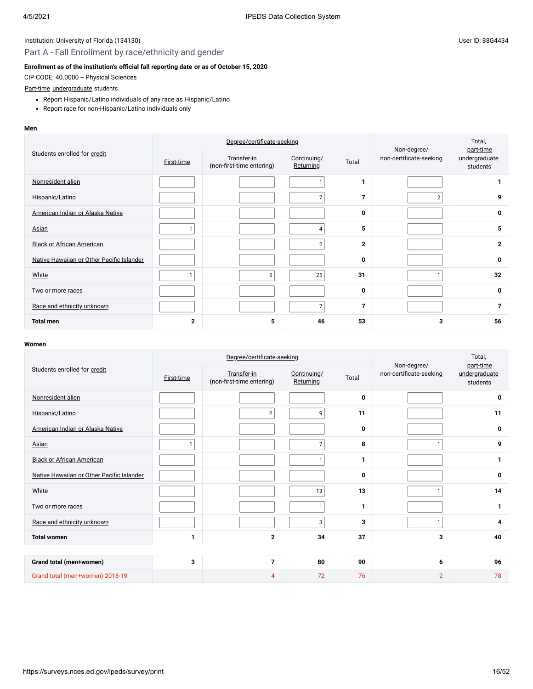## Part A - Fall Enrollment by race/ethnicity and gender

### **Enrollment as of the institution's [official fall reporting date](javascript:openglossary(431)) or as of October 15, 2020**

CIP CODE: 40.0000 -- Physical Sciences

#### [Part-time](javascript:openglossary(469)) [undergraduate](javascript:openglossary(677)) students

- Report Hispanic/Latino individuals of any race as Hispanic/Latino
- Report race for non-Hispanic/Latino individuals only

#### **Men**

|                                           | Degree/certificate-seeking |                                          |                          |                | Non-degree/             | Total,<br>part-time       |
|-------------------------------------------|----------------------------|------------------------------------------|--------------------------|----------------|-------------------------|---------------------------|
| Students enrolled for credit              | First-time                 | Transfer-in<br>(non-first-time entering) | Continuing/<br>Returning | Total          | non-certificate-seeking | undergraduate<br>students |
| Nonresident alien                         |                            |                                          |                          | 1              |                         |                           |
| Hispanic/Latino                           |                            |                                          | 7                        | 7              | $\overline{2}$          | 9                         |
| American Indian or Alaska Native          |                            |                                          |                          | 0              |                         | 0                         |
| <b>Asian</b>                              |                            |                                          | 4                        | 5              |                         | 5                         |
| <b>Black or African American</b>          |                            |                                          | $\overline{2}$           | $\mathbf{2}$   |                         | $\mathbf{2}$              |
| Native Hawaiian or Other Pacific Islander |                            |                                          |                          | 0              |                         | 0                         |
| White                                     |                            | 5                                        | 25                       | 31             |                         | 32                        |
| Two or more races                         |                            |                                          |                          | 0              |                         | 0                         |
| Race and ethnicity unknown                |                            |                                          | $\overline{7}$           | $\overline{7}$ |                         | $\overline{7}$            |
| <b>Total men</b>                          | 2                          | 5                                        | 46                       | 53             | 3                       | 56                        |

|                                           | Degree/certificate-seeking |                                          |                          |       | Non-degree/             | Total,<br>part-time       |  |  |
|-------------------------------------------|----------------------------|------------------------------------------|--------------------------|-------|-------------------------|---------------------------|--|--|
| Students enrolled for credit              | First-time                 | Transfer-in<br>(non-first-time entering) | Continuing/<br>Returning | Total | non-certificate-seeking | undergraduate<br>students |  |  |
| Nonresident alien                         |                            |                                          |                          | 0     |                         | 0                         |  |  |
| Hispanic/Latino                           |                            | $\overline{2}$                           | 9                        | 11    |                         | 11                        |  |  |
| American Indian or Alaska Native          |                            |                                          |                          | 0     |                         | 0                         |  |  |
| Asian                                     | 1                          |                                          | $\overline{7}$           | 8     | $\mathbf{1}$            | 9                         |  |  |
| <b>Black or African American</b>          |                            |                                          | $\mathbf{1}$             | 1     |                         | 1                         |  |  |
| Native Hawaiian or Other Pacific Islander |                            |                                          |                          | 0     |                         | 0                         |  |  |
| White                                     |                            |                                          | 13                       | 13    | $\mathbf{1}$            | 14                        |  |  |
| Two or more races                         |                            |                                          | $\mathbf{1}$             | 1     |                         | 1                         |  |  |
| Race and ethnicity unknown                |                            |                                          | 3                        | 3     | 1                       | 4                         |  |  |
| <b>Total women</b>                        | 1                          | $\mathbf{2}$                             | 34                       | 37    | 3                       | 40                        |  |  |
|                                           |                            |                                          |                          |       |                         |                           |  |  |
| Grand total (men+women)                   | 3                          | $\overline{7}$                           | 80                       | 90    | 6                       | 96                        |  |  |
| Grand total (men+women) 2018-19           |                            | 4                                        | 72                       | 76    | $\overline{2}$          | 78                        |  |  |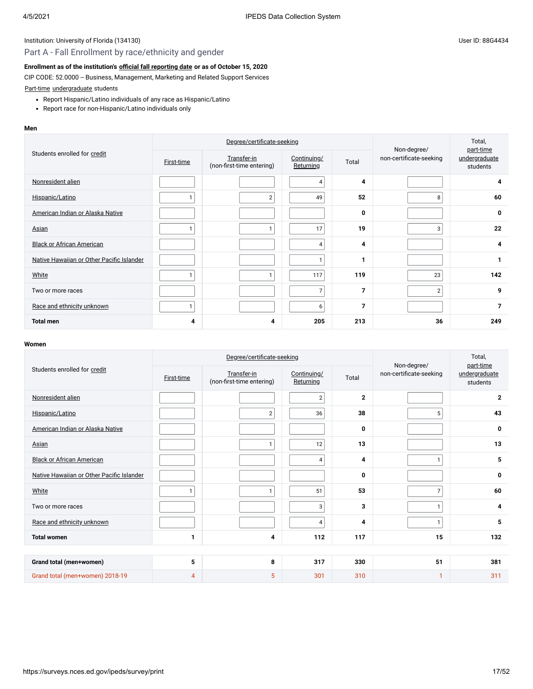## Part A - Fall Enrollment by race/ethnicity and gender

#### **Enrollment as of the institution's [official fall reporting date](javascript:openglossary(431)) or as of October 15, 2020**

CIP CODE: 52.0000 -- Business, Management, Marketing and Related Support Services

[Part-time](javascript:openglossary(469)) [undergraduate](javascript:openglossary(677)) students

- Report Hispanic/Latino individuals of any race as Hispanic/Latino
- Report race for non-Hispanic/Latino individuals only

#### **Men**

|                                           | Degree/certificate-seeking |                                          |                          |                | Non-degree/             | Total,<br>part-time       |
|-------------------------------------------|----------------------------|------------------------------------------|--------------------------|----------------|-------------------------|---------------------------|
| Students enrolled for credit              | <b>First-time</b>          | Transfer-in<br>(non-first-time entering) | Continuing/<br>Returning | Total          | non-certificate-seeking | undergraduate<br>students |
| Nonresident alien                         |                            |                                          | 4                        | 4              |                         | 4                         |
| Hispanic/Latino                           |                            | $\overline{2}$                           | 49                       | 52             | 8                       | 60                        |
| American Indian or Alaska Native          |                            |                                          |                          | 0              |                         | 0                         |
| <b>Asian</b>                              |                            | 1                                        | 17                       | 19             | 3                       | 22                        |
| <b>Black or African American</b>          |                            |                                          | $\overline{4}$           | 4              |                         | 4                         |
| Native Hawaiian or Other Pacific Islander |                            |                                          | $\mathbf{1}$             | 1              |                         | 1                         |
| White                                     |                            | 1                                        | 117                      | 119            | 23                      | 142                       |
| Two or more races                         |                            |                                          | $\overline{7}$           | $\overline{7}$ | $\overline{2}$          | 9                         |
| Race and ethnicity unknown                |                            |                                          | 6                        | $\overline{7}$ |                         | $\overline{7}$            |
| <b>Total men</b>                          | 4                          | 4                                        | 205                      | 213            | 36                      | 249                       |

|                                           | Degree/certificate-seeking |                                          |                          |                | Non-degree/             | Total,<br>part-time       |  |  |
|-------------------------------------------|----------------------------|------------------------------------------|--------------------------|----------------|-------------------------|---------------------------|--|--|
| Students enrolled for credit              | First-time                 | Transfer-in<br>(non-first-time entering) | Continuing/<br>Returning | Total          | non-certificate-seeking | undergraduate<br>students |  |  |
| Nonresident alien                         |                            |                                          | $\sqrt{2}$               | $\overline{2}$ |                         | $\mathbf{2}$              |  |  |
| Hispanic/Latino                           |                            | $\sqrt{2}$                               | 36                       | 38             | 5                       | 43                        |  |  |
| American Indian or Alaska Native          |                            |                                          |                          | 0              |                         | $\mathbf 0$               |  |  |
| Asian                                     |                            | $\mathbf{1}$                             | 12                       | 13             |                         | 13                        |  |  |
| <b>Black or African American</b>          |                            |                                          | 4                        | 4              | $\mathbf{1}$            | 5                         |  |  |
| Native Hawaiian or Other Pacific Islander |                            |                                          |                          | 0              |                         | $\mathbf 0$               |  |  |
| White                                     | $\mathbf{1}$               | $\mathbf{1}$                             | 51                       | 53             | $\overline{7}$          | 60                        |  |  |
| Two or more races                         |                            |                                          | 3                        | 3              | $\mathbf{1}$            | 4                         |  |  |
| Race and ethnicity unknown                |                            |                                          | 4                        | 4              | 1                       | 5                         |  |  |
| <b>Total women</b>                        | 1                          | 4                                        | 112                      | 117            | 15                      | 132                       |  |  |
|                                           |                            |                                          |                          |                |                         |                           |  |  |
| Grand total (men+women)                   | 5                          | 8                                        | 317                      | 330            | 51                      | 381                       |  |  |
| Grand total (men+women) 2018-19           | $\overline{4}$             | 5                                        | 301                      | 310            | $\mathbf{1}$            | 311                       |  |  |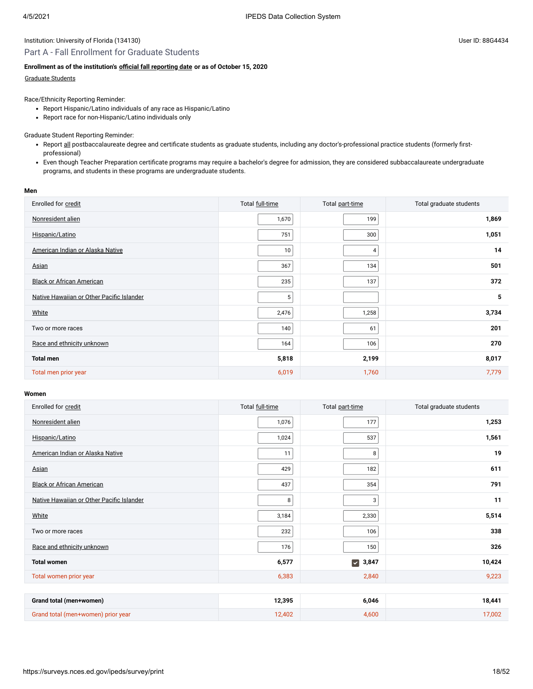#### Part A - Fall Enrollment for Graduate Students

#### **Enrollment as of the institution's [official fall reporting date](javascript:openglossary(431)) or as of October 15, 2020**

#### [Graduate Students](javascript:openglossary(275))

Race/Ethnicity Reporting Reminder:

- Report Hispanic/Latino individuals of any race as Hispanic/Latino
- Report race for non-Hispanic/Latino individuals only

Graduate Student Reporting Reminder:

- Report all postbaccalaureate degree and certificate students as graduate students, including any doctor's-professional practice students (formerly firstprofessional)
- Even though Teacher Preparation certificate programs may require a bachelor's degree for admission, they are considered subbaccalaureate undergraduate programs, and students in these programs are undergraduate students.

#### **Men**

| Enrolled for credit                       | Total full-time | Total part-time | Total graduate students |
|-------------------------------------------|-----------------|-----------------|-------------------------|
| Nonresident alien                         | 1,670           | 199             | 1,869                   |
| Hispanic/Latino                           | 751             | 300             | 1,051                   |
| American Indian or Alaska Native          | 10              | 4               | 14                      |
| Asian                                     | 367             | 134             | 501                     |
| <b>Black or African American</b>          | 235             | 137             | 372                     |
| Native Hawaiian or Other Pacific Islander | 5               |                 | 5                       |
| White                                     | 2,476           | 1,258           | 3,734                   |
| Two or more races                         | 140             | 61              | 201                     |
| Race and ethnicity unknown                | 164             | 106             | 270                     |
| <b>Total men</b>                          | 5,818           | 2,199           | 8,017                   |
| Total men prior year                      | 6,019           | 1,760           | 7,779                   |

| Enrolled for credit                       | Total full-time | Total part-time               | Total graduate students |
|-------------------------------------------|-----------------|-------------------------------|-------------------------|
| Nonresident alien                         | 1,076           | 177                           | 1,253                   |
| Hispanic/Latino                           | 1,024           | 537                           | 1,561                   |
| American Indian or Alaska Native          | 11              | 8                             | 19                      |
| Asian                                     | 429             | 182                           | 611                     |
| <b>Black or African American</b>          | 437             | 354                           | 791                     |
| Native Hawaiian or Other Pacific Islander | 8               | $\overline{3}$                | 11                      |
| White                                     | 3,184           | 2,330                         | 5,514                   |
| Two or more races                         | 232             | 106                           | 338                     |
| Race and ethnicity unknown                | 176             | 150                           | 326                     |
| <b>Total women</b>                        | 6,577           | $\blacktriangledown$<br>3,847 | 10,424                  |
| Total women prior year                    | 6,383           | 2,840                         | 9,223                   |
|                                           |                 |                               |                         |
| Grand total (men+women)                   | 12,395          | 6,046                         | 18,441                  |
| Grand total (men+women) prior year        | 12,402          | 4,600                         | 17,002                  |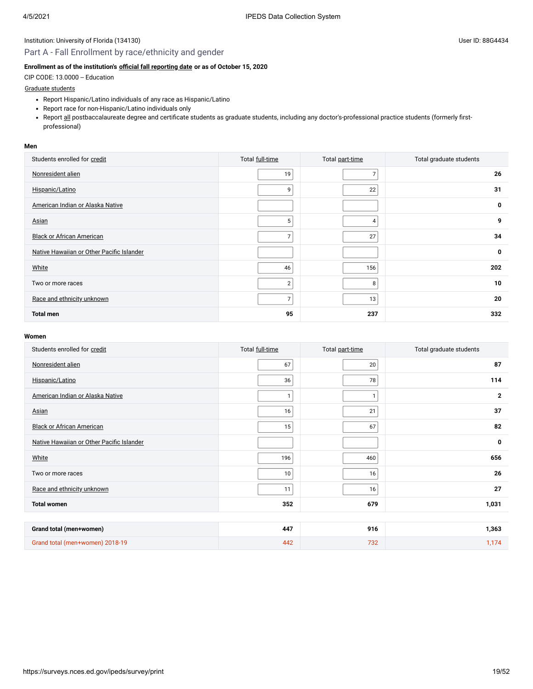## Part A - Fall Enrollment by race/ethnicity and gender

### **Enrollment as of the institution's [official fall reporting date](javascript:openglossary(431)) or as of October 15, 2020**

CIP CODE: 13.0000 -- Education

### [Graduate students](javascript:openglossary(275))

- Report Hispanic/Latino individuals of any race as Hispanic/Latino
- Report race for non-Hispanic/Latino individuals only
- Report all postbaccalaureate degree and certificate students as graduate students, including any doctor's-professional practice students (formerly firstprofessional)

#### **Men**

| Students enrolled for credit              | Total full-time | Total part-time | Total graduate students |
|-------------------------------------------|-----------------|-----------------|-------------------------|
| Nonresident alien                         | 19              | 7               | 26                      |
| Hispanic/Latino                           | 9               | 22              | 31                      |
| American Indian or Alaska Native          |                 |                 | 0                       |
| Asian                                     | 5               | 4               | 9                       |
| <b>Black or African American</b>          | $\overline{ }$  | 27              | 34                      |
| Native Hawaiian or Other Pacific Islander |                 |                 | 0                       |
| White                                     | 46              | 156             | 202                     |
| Two or more races                         | $\overline{2}$  | 8               | 10                      |
| Race and ethnicity unknown                | $\overline{7}$  | 13              | 20                      |
| <b>Total men</b>                          | 95              | 237             | 332                     |

| Students enrolled for credit              | Total full-time | Total part-time | Total graduate students |
|-------------------------------------------|-----------------|-----------------|-------------------------|
| Nonresident alien                         | 67              | 20              | 87                      |
| Hispanic/Latino                           | 36              | 78              | 114                     |
| American Indian or Alaska Native          |                 | 1               | $\overline{2}$          |
| Asian                                     | 16              | 21              | 37                      |
| <b>Black or African American</b>          | 15              | 67              | 82                      |
| Native Hawaiian or Other Pacific Islander |                 |                 | $\mathbf 0$             |
| White                                     | 196             | 460             | 656                     |
| Two or more races                         | 10              | 16              | 26                      |
| Race and ethnicity unknown                | 11              | 16              | 27                      |
| <b>Total women</b>                        | 352             | 679             | 1,031                   |
|                                           |                 |                 |                         |
| Grand total (men+women)                   | 447             | 916             | 1,363                   |
| Grand total (men+women) 2018-19           | 442             | 732             | 1,174                   |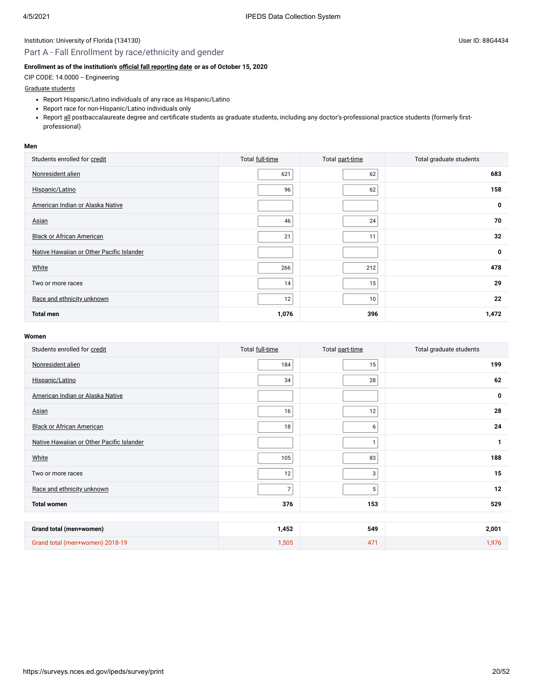### Part A - Fall Enrollment by race/ethnicity and gender

### **Enrollment as of the institution's [official fall reporting date](javascript:openglossary(431)) or as of October 15, 2020**

CIP CODE: 14.0000 -- Engineering

### [Graduate students](javascript:openglossary(275))

- Report Hispanic/Latino individuals of any race as Hispanic/Latino
- Report race for non-Hispanic/Latino individuals only
- Report all postbaccalaureate degree and certificate students as graduate students, including any doctor's-professional practice students (formerly firstprofessional)

#### **Men**

| Students enrolled for credit              | Total full-time | Total part-time | Total graduate students |
|-------------------------------------------|-----------------|-----------------|-------------------------|
| Nonresident alien                         | 621             | 62              | 683                     |
| Hispanic/Latino                           | 96              | 62              | 158                     |
| American Indian or Alaska Native          |                 |                 | 0                       |
| <b>Asian</b>                              | 46              | 24              | 70                      |
| <b>Black or African American</b>          | 21              | 11              | 32                      |
| Native Hawaiian or Other Pacific Islander |                 |                 | 0                       |
| White                                     | 266             | 212             | 478                     |
| Two or more races                         | 14              | 15              | 29                      |
| Race and ethnicity unknown                | 12              | 10              | 22                      |
| <b>Total men</b>                          | 1,076           | 396             | 1,472                   |

| Students enrolled for credit              | Total full-time | Total part-time | Total graduate students |
|-------------------------------------------|-----------------|-----------------|-------------------------|
| Nonresident alien                         | 184             | 15              | 199                     |
| Hispanic/Latino                           | 34              | 28              | 62                      |
| American Indian or Alaska Native          |                 |                 | 0                       |
| Asian                                     | 16              | 12              | 28                      |
| <b>Black or African American</b>          | 18              | 6               | 24                      |
| Native Hawaiian or Other Pacific Islander |                 | $\mathbf{1}$    | 1                       |
| White                                     | 105             | 83              | 188                     |
| Two or more races                         | 12              | 3               | 15                      |
| Race and ethnicity unknown                | $\overline{7}$  | 5               | 12                      |
| <b>Total women</b>                        | 376             | 153             | 529                     |
|                                           |                 |                 |                         |
| Grand total (men+women)                   | 1,452           | 549             | 2,001                   |
| Grand total (men+women) 2018-19           | 1,505           | 471             | 1,976                   |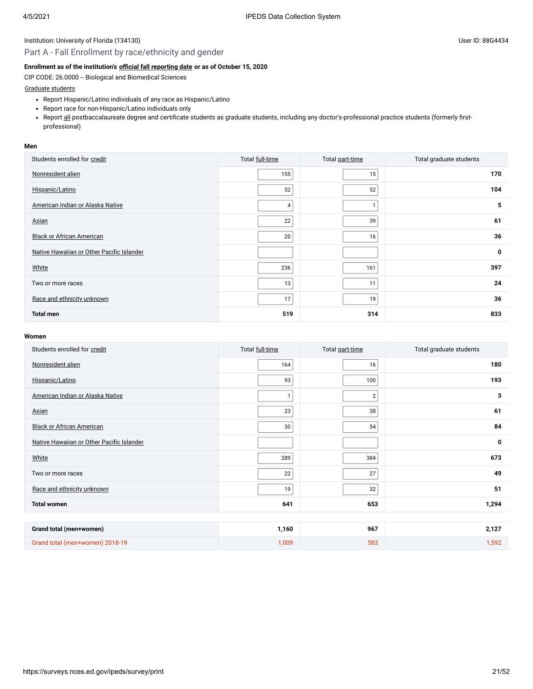## Part A - Fall Enrollment by race/ethnicity and gender

### **Enrollment as of the institution's [official fall reporting date](javascript:openglossary(431)) or as of October 15, 2020**

CIP CODE: 26.0000 -- Biological and Biomedical Sciences

#### [Graduate students](javascript:openglossary(275))

- Report Hispanic/Latino individuals of any race as Hispanic/Latino
- Report race for non-Hispanic/Latino individuals only
- Report all postbaccalaureate degree and certificate students as graduate students, including any doctor's-professional practice students (formerly firstprofessional)

#### **Men**

| Students enrolled for credit              | Total full-time | Total part-time | Total graduate students |
|-------------------------------------------|-----------------|-----------------|-------------------------|
| Nonresident alien                         | 155             | 15              | 170                     |
| Hispanic/Latino                           | 52              | 52              | 104                     |
| American Indian or Alaska Native          | 4               |                 | 5                       |
| Asian                                     | 22              | 39              | 61                      |
| <b>Black or African American</b>          | 20              | 16              | 36                      |
| Native Hawaiian or Other Pacific Islander |                 |                 | 0                       |
| White                                     | 236             | 161             | 397                     |
| Two or more races                         | 13              | 11              | 24                      |
| Race and ethnicity unknown                | 17              | 19              | 36                      |
| <b>Total men</b>                          | 519             | 314             | 833                     |

| Students enrolled for credit              | Total full-time | Total part-time | Total graduate students |
|-------------------------------------------|-----------------|-----------------|-------------------------|
| Nonresident alien                         | 164             | 16              | 180                     |
| Hispanic/Latino                           | 93              | 100             | 193                     |
| American Indian or Alaska Native          | $\mathbf{1}$    | $\overline{2}$  | 3                       |
| Asian                                     | 23              | 38              | 61                      |
| <b>Black or African American</b>          | 30              | 54              | 84                      |
| Native Hawaiian or Other Pacific Islander |                 |                 | 0                       |
| White                                     | 289             | 384             | 673                     |
| Two or more races                         | 22              | 27              | 49                      |
| Race and ethnicity unknown                | 19              | 32              | 51                      |
| <b>Total women</b>                        | 641             | 653             | 1,294                   |
|                                           |                 |                 |                         |
| Grand total (men+women)                   | 1,160           | 967             | 2,127                   |
| Grand total (men+women) 2018-19           | 1,009           | 583             | 1,592                   |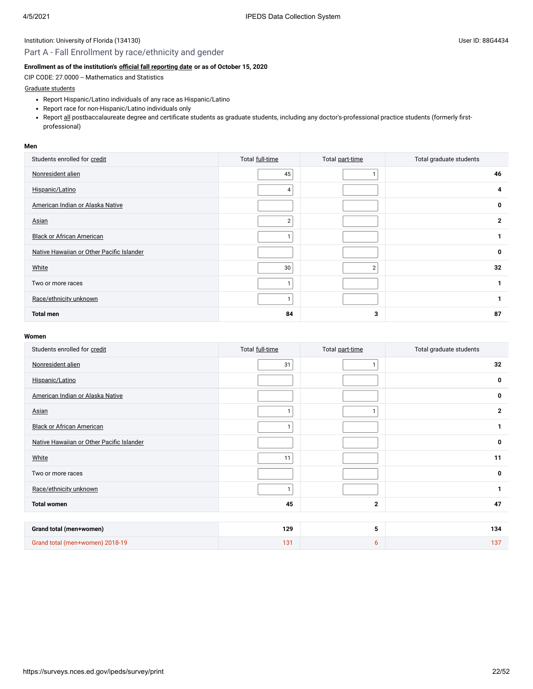## Part A - Fall Enrollment by race/ethnicity and gender

### **Enrollment as of the institution's [official fall reporting date](javascript:openglossary(431)) or as of October 15, 2020**

CIP CODE: 27.0000 -- Mathematics and Statistics

### [Graduate students](javascript:openglossary(275))

- Report Hispanic/Latino individuals of any race as Hispanic/Latino
- Report race for non-Hispanic/Latino individuals only
- Report all postbaccalaureate degree and certificate students as graduate students, including any doctor's-professional practice students (formerly firstprofessional)

#### **Men**

| Students enrolled for credit              | Total full-time | Total part-time | Total graduate students |
|-------------------------------------------|-----------------|-----------------|-------------------------|
| Nonresident alien                         | 45              |                 | 46                      |
| Hispanic/Latino                           | 4               |                 |                         |
| American Indian or Alaska Native          |                 |                 | 0                       |
| Asian                                     | $\overline{2}$  |                 | 2                       |
| <b>Black or African American</b>          |                 |                 |                         |
| Native Hawaiian or Other Pacific Islander |                 |                 | 0                       |
| White                                     | 30              | $\overline{2}$  | 32                      |
| Two or more races                         |                 |                 |                         |
| Race/ethnicity unknown                    |                 |                 |                         |
| <b>Total men</b>                          | 84              | 3               | 87                      |

| Students enrolled for credit              | Total full-time | Total part-time | Total graduate students |
|-------------------------------------------|-----------------|-----------------|-------------------------|
| Nonresident alien                         | 31              | $\mathbf{1}$    | 32                      |
| Hispanic/Latino                           |                 |                 | 0                       |
| American Indian or Alaska Native          |                 |                 | 0                       |
| Asian                                     |                 |                 | $\mathbf{2}$            |
| <b>Black or African American</b>          | 1 <sub>1</sub>  |                 | 1                       |
| Native Hawaiian or Other Pacific Islander |                 |                 | 0                       |
| White                                     | 11              |                 | 11                      |
| Two or more races                         |                 |                 | 0                       |
| Race/ethnicity unknown                    | ٠               |                 | $\mathbf{1}$            |
| <b>Total women</b>                        | 45              | $\mathbf{2}$    | 47                      |
|                                           |                 |                 |                         |
| Grand total (men+women)                   | 129             | 5               | 134                     |
| Grand total (men+women) 2018-19           | 131             | 6               | 137                     |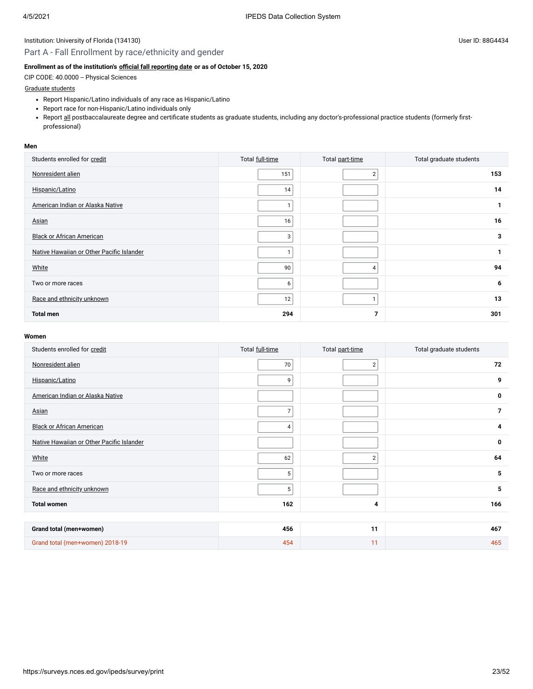## Part A - Fall Enrollment by race/ethnicity and gender

### **Enrollment as of the institution's [official fall reporting date](javascript:openglossary(431)) or as of October 15, 2020**

CIP CODE: 40.0000 -- Physical Sciences

### [Graduate students](javascript:openglossary(275))

- Report Hispanic/Latino individuals of any race as Hispanic/Latino
- Report race for non-Hispanic/Latino individuals only
- Report all postbaccalaureate degree and certificate students as graduate students, including any doctor's-professional practice students (formerly firstprofessional)

#### **Men**

| Students enrolled for credit              | Total full-time | Total part-time | Total graduate students |
|-------------------------------------------|-----------------|-----------------|-------------------------|
| Nonresident alien                         | 151             | $\overline{2}$  | 153                     |
| Hispanic/Latino                           | 14              |                 | 14                      |
| American Indian or Alaska Native          |                 |                 |                         |
| Asian                                     | 16              |                 | 16                      |
| <b>Black or African American</b>          | 3               |                 | 3                       |
| Native Hawaiian or Other Pacific Islander |                 |                 |                         |
| White                                     | 90              | 4               | 94                      |
| Two or more races                         | 6               |                 | 6                       |
| Race and ethnicity unknown                | 12              | ×.              | 13                      |
| <b>Total men</b>                          | 294             | 7               | 301                     |

| Students enrolled for credit              | Total full-time | Total part-time | Total graduate students |
|-------------------------------------------|-----------------|-----------------|-------------------------|
| Nonresident alien                         | 70              | $\overline{2}$  | 72                      |
| Hispanic/Latino                           | 9               |                 | 9                       |
| American Indian or Alaska Native          |                 |                 | 0                       |
| Asian                                     | $\overline{7}$  |                 | $\overline{7}$          |
| <b>Black or African American</b>          | 4               |                 | 4                       |
| Native Hawaiian or Other Pacific Islander |                 |                 | $\mathbf 0$             |
| White                                     | 62              | $\overline{2}$  | 64                      |
| Two or more races                         | 5               |                 | 5                       |
| Race and ethnicity unknown                | 5               |                 | 5                       |
| <b>Total women</b>                        | 162             | 4               | 166                     |
|                                           |                 |                 |                         |
| Grand total (men+women)                   | 456             | 11              | 467                     |
| Grand total (men+women) 2018-19           | 454             | 11              | 465                     |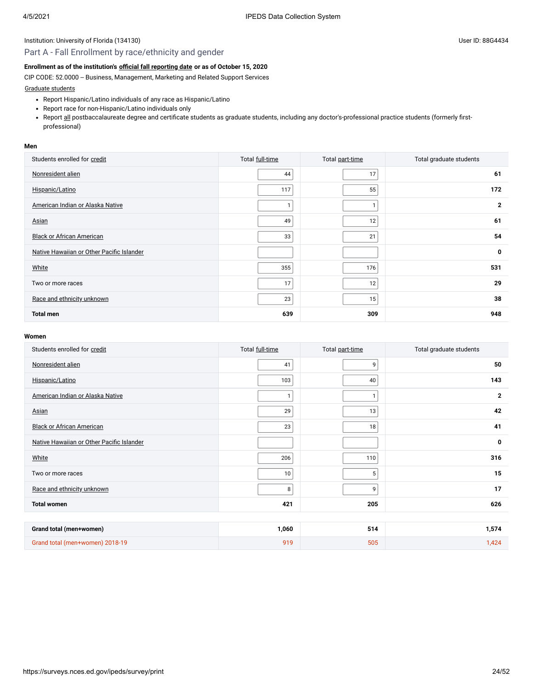## Part A - Fall Enrollment by race/ethnicity and gender

## **Enrollment as of the institution's [official fall reporting date](javascript:openglossary(431)) or as of October 15, 2020**

CIP CODE: 52.0000 -- Business, Management, Marketing and Related Support Services

[Graduate students](javascript:openglossary(275))

- Report Hispanic/Latino individuals of any race as Hispanic/Latino
- Report race for non-Hispanic/Latino individuals only
- Report all postbaccalaureate degree and certificate students as graduate students, including any doctor's-professional practice students (formerly firstprofessional)

#### **Men**

| Students enrolled for credit              | Total full-time | Total part-time | Total graduate students |
|-------------------------------------------|-----------------|-----------------|-------------------------|
| Nonresident alien                         | 44              | 17              | 61                      |
| Hispanic/Latino                           | 117             | 55              | 172                     |
| American Indian or Alaska Native          |                 | 1               | $\overline{2}$          |
| <b>Asian</b>                              | 49              | 12 <sub>1</sub> | 61                      |
| <b>Black or African American</b>          | 33              | 21              | 54                      |
| Native Hawaiian or Other Pacific Islander |                 |                 | $\mathbf 0$             |
| White                                     | 355             | 176             | 531                     |
| Two or more races                         | 17              | 12              | 29                      |
| Race and ethnicity unknown                | 23              | 15              | 38                      |
| <b>Total men</b>                          | 639             | 309             | 948                     |

| Students enrolled for credit              | Total full-time | Total part-time | Total graduate students |
|-------------------------------------------|-----------------|-----------------|-------------------------|
| Nonresident alien                         | 41              | 9               | 50                      |
| Hispanic/Latino                           | 103             | 40              | 143                     |
| American Indian or Alaska Native          | 1               |                 | $\mathbf{2}$            |
| Asian                                     | 29              | 13              | 42                      |
| <b>Black or African American</b>          | 23              | 18              | 41                      |
| Native Hawaiian or Other Pacific Islander |                 |                 | 0                       |
| White                                     | 206             | 110             | 316                     |
| Two or more races                         | 10              | $\,$ 5 $\,$     | 15                      |
| Race and ethnicity unknown                | 8               | 9               | 17                      |
| <b>Total women</b>                        | 421             | 205             | 626                     |
|                                           |                 |                 |                         |
| Grand total (men+women)                   | 1,060           | 514             | 1,574                   |
| Grand total (men+women) 2018-19           | 919             | 505             | 1,424                   |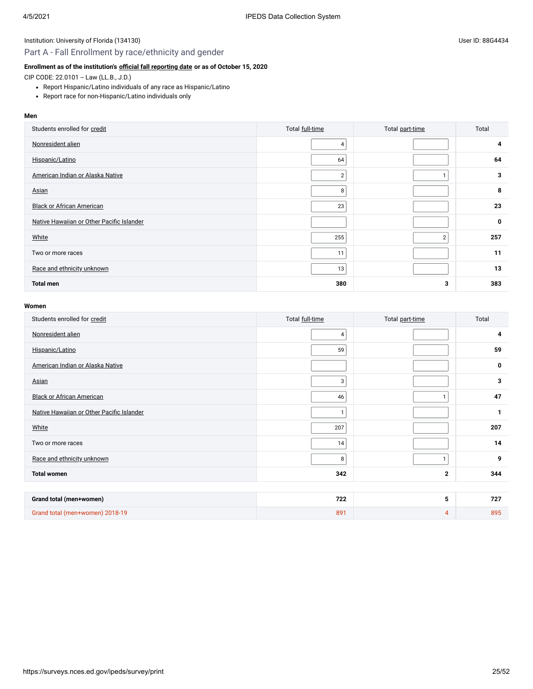## Part A - Fall Enrollment by race/ethnicity and gender

## **Enrollment as of the institution's [official fall reporting date](javascript:openglossary(431)) or as of October 15, 2020**

CIP CODE: 22.0101 -- Law (LL.B., J.D.)

- Report Hispanic/Latino individuals of any race as Hispanic/Latino
- Report race for non-Hispanic/Latino individuals only

#### **Men**

| Students enrolled for credit              | Total full-time | Total part-time | Total |
|-------------------------------------------|-----------------|-----------------|-------|
| Nonresident alien                         | $\overline{4}$  |                 | 4     |
| Hispanic/Latino                           | 64              |                 | 64    |
| American Indian or Alaska Native          | $\overline{2}$  |                 | 3     |
| Asian                                     | 8               |                 | 8     |
| <b>Black or African American</b>          | 23              |                 | 23    |
| Native Hawaiian or Other Pacific Islander |                 |                 | 0     |
| White                                     | 255             | $\overline{2}$  | 257   |
| Two or more races                         | 11              |                 | 11    |
| Race and ethnicity unknown                | 13              |                 | 13    |
| <b>Total men</b>                          | 380             | 3               | 383   |

| Students enrolled for credit              | Total full-time | Total part-time | Total |
|-------------------------------------------|-----------------|-----------------|-------|
| Nonresident alien                         | $\overline{4}$  |                 | 4     |
| Hispanic/Latino                           | 59              |                 | 59    |
| American Indian or Alaska Native          |                 |                 | 0     |
| Asian                                     | 3               |                 | 3     |
| <b>Black or African American</b>          | 46              | $\mathbf{1}$    | 47    |
| Native Hawaiian or Other Pacific Islander | $\mathbf{1}$    |                 | 1     |
| White                                     | 207             |                 | 207   |
| Two or more races                         | 14              |                 | 14    |
| Race and ethnicity unknown                | 8               |                 | 9     |
| <b>Total women</b>                        | 342             | $\mathbf{2}$    | 344   |
|                                           |                 |                 |       |
| Grand total (men+women)                   | 722             | 5               | 727   |
| Grand total (men+women) 2018-19           | 891             | $\overline{4}$  | 895   |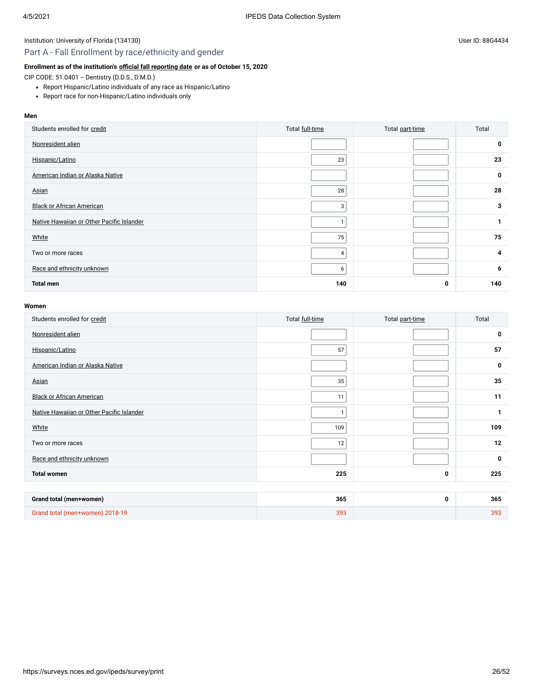## Part A - Fall Enrollment by race/ethnicity and gender

#### **Enrollment as of the institution's [official fall reporting date](javascript:openglossary(431)) or as of October 15, 2020**

CIP CODE: 51.0401 -- Dentistry (D.D.S., D.M.D.)

- Report Hispanic/Latino individuals of any race as Hispanic/Latino
- Report race for non-Hispanic/Latino individuals only

#### **Men**

| Students enrolled for credit              | Total full-time | Total part-time | Total |
|-------------------------------------------|-----------------|-----------------|-------|
| Nonresident alien                         |                 |                 | 0     |
| Hispanic/Latino                           | 23              |                 | 23    |
| American Indian or Alaska Native          |                 |                 | 0     |
| Asian                                     | 28              |                 | 28    |
| <b>Black or African American</b>          | 3               |                 | 3     |
| Native Hawaiian or Other Pacific Islander |                 |                 | 1     |
| White                                     | 75              |                 | 75    |
| Two or more races                         | $\overline{4}$  |                 | 4     |
| Race and ethnicity unknown                | 6               |                 | 6     |
| <b>Total men</b>                          | 140             | 0               | 140   |

| Students enrolled for credit              | Total full-time | Total part-time | Total       |
|-------------------------------------------|-----------------|-----------------|-------------|
| Nonresident alien                         |                 |                 | 0           |
| Hispanic/Latino                           | 57              |                 | 57          |
| American Indian or Alaska Native          |                 |                 | $\mathbf 0$ |
| Asian                                     | 35              |                 | 35          |
| <b>Black or African American</b>          | 11              |                 | 11          |
| Native Hawaiian or Other Pacific Islander | -1              |                 | 1           |
| White                                     | 109             |                 | 109         |
| Two or more races                         | 12              |                 | 12          |
| Race and ethnicity unknown                |                 |                 | 0           |
| <b>Total women</b>                        | 225             | 0               | 225         |
|                                           |                 |                 |             |
| Grand total (men+women)                   | 365             | 0               | 365         |
| Grand total (men+women) 2018-19           | 393             |                 | 393         |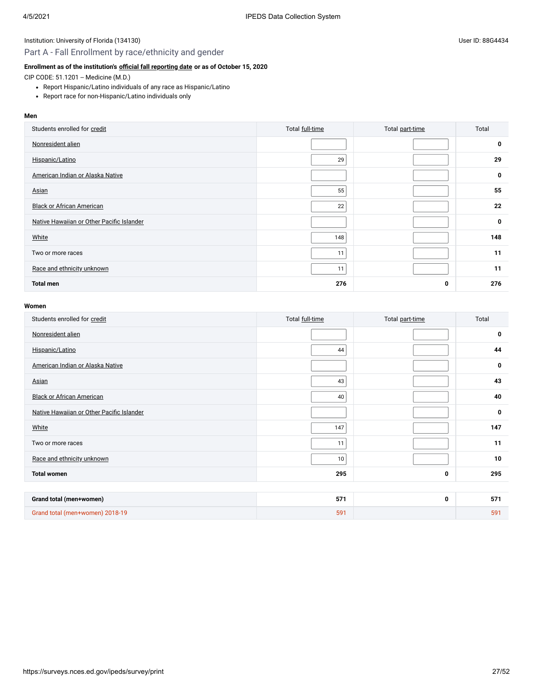## Part A - Fall Enrollment by race/ethnicity and gender

## **Enrollment as of the institution's [official fall reporting date](javascript:openglossary(431)) or as of October 15, 2020**

CIP CODE: 51.1201 -- Medicine (M.D.)

- Report Hispanic/Latino individuals of any race as Hispanic/Latino
- Report race for non-Hispanic/Latino individuals only

#### **Men**

| Students enrolled for credit              | Total full-time | Total part-time | Total |
|-------------------------------------------|-----------------|-----------------|-------|
| Nonresident alien                         |                 |                 | 0     |
| Hispanic/Latino                           | 29              |                 | 29    |
| American Indian or Alaska Native          |                 |                 | 0     |
| Asian                                     | 55              |                 | 55    |
| <b>Black or African American</b>          | 22              |                 | 22    |
| Native Hawaiian or Other Pacific Islander |                 |                 | 0     |
| White                                     | 148             |                 | 148   |
| Two or more races                         | 11              |                 | 11    |
| Race and ethnicity unknown                | 11              |                 | 11    |
| <b>Total men</b>                          | 276             | 0               | 276   |

| Students enrolled for credit              | Total full-time | Total part-time | Total       |
|-------------------------------------------|-----------------|-----------------|-------------|
| Nonresident alien                         |                 |                 | 0           |
| Hispanic/Latino                           | 44              |                 | 44          |
| American Indian or Alaska Native          |                 |                 | $\mathbf 0$ |
| Asian                                     | 43              |                 | 43          |
| <b>Black or African American</b>          | 40              |                 | 40          |
| Native Hawaiian or Other Pacific Islander |                 |                 | $\mathbf 0$ |
| White                                     | 147             |                 | 147         |
| Two or more races                         | 11              |                 | 11          |
| Race and ethnicity unknown                | 10              |                 | 10          |
| <b>Total women</b>                        | 295             | 0               | 295         |
|                                           |                 |                 |             |
| Grand total (men+women)                   | 571             | 0               | 571         |
| Grand total (men+women) 2018-19           | 591             |                 | 591         |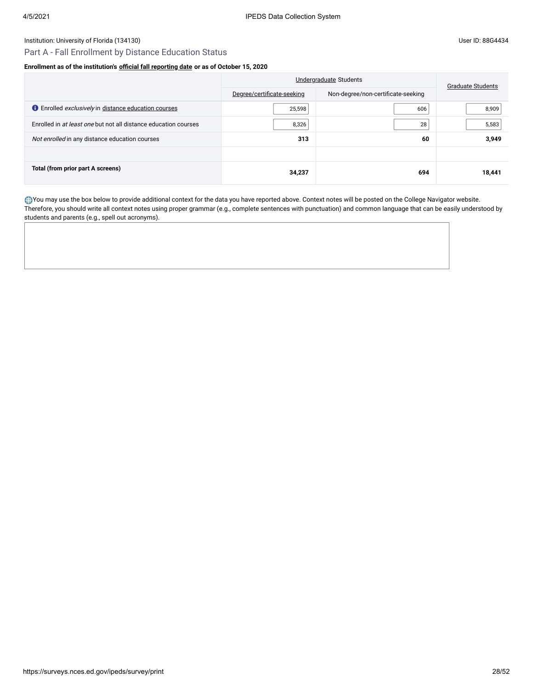## Part A - Fall Enrollment by Distance Education Status

#### **Enrollment as of the institution's [official fall reporting date](javascript:openglossary(431)) or as of October 15, 2020**

|                                                                    | Undergraduate Students     |                                    | <b>Graduate Students</b> |
|--------------------------------------------------------------------|----------------------------|------------------------------------|--------------------------|
|                                                                    | Degree/certificate-seeking | Non-degree/non-certificate-seeking |                          |
| <b>C</b> Enrolled <i>exclusively</i> in distance education courses | 25,598                     | 606                                | 8,909                    |
| Enrolled in at least one but not all distance education courses    | 8,326                      | 28                                 | 5,583                    |
| Not enrolled in any distance education courses                     | 313                        | 60                                 | 3,949                    |
|                                                                    |                            |                                    |                          |
| Total (from prior part A screens)                                  | 34,237                     | 694                                | 18,441                   |

You may use the box below to provide additional context for the data you have reported above. Context notes will be posted on the College Navigator website. Therefore, you should write all context notes using proper grammar (e.g., complete sentences with punctuation) and common language that can be easily understood by students and parents (e.g., spell out acronyms).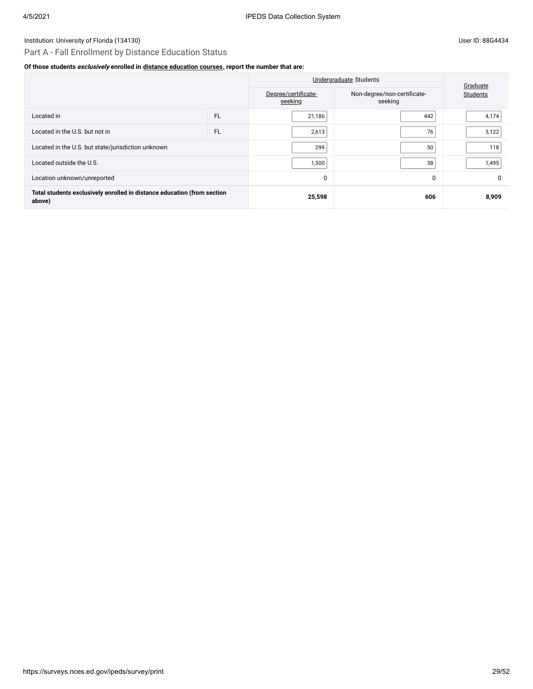## Part A - Fall Enrollment by Distance Education Status

## **Of those students exclusively enrolled in [distance education courses,](javascript:openglossary(976)) report the number that are:**

|                                                                                   |           | <b>Undergraduate Students</b>  |                                        | Graduate |
|-----------------------------------------------------------------------------------|-----------|--------------------------------|----------------------------------------|----------|
|                                                                                   |           | Degree/certificate-<br>seeking | Non-degree/non-certificate-<br>seeking | Students |
| Located in                                                                        | <b>FL</b> | 21,186                         | 442                                    | 4,174    |
| Located in the U.S. but not in                                                    | <b>FL</b> | 2,613                          | 76                                     | 3,122    |
| Located in the U.S. but state/jurisdiction unknown                                |           | 299                            | 50                                     | 118      |
| Located outside the U.S.                                                          |           | 1,500                          | 38                                     | 1,495    |
| Location unknown/unreported                                                       |           | 0                              | $\Omega$                               |          |
| Total students exclusively enrolled in distance education (from section<br>above) |           | 25,598                         | 606                                    | 8,909    |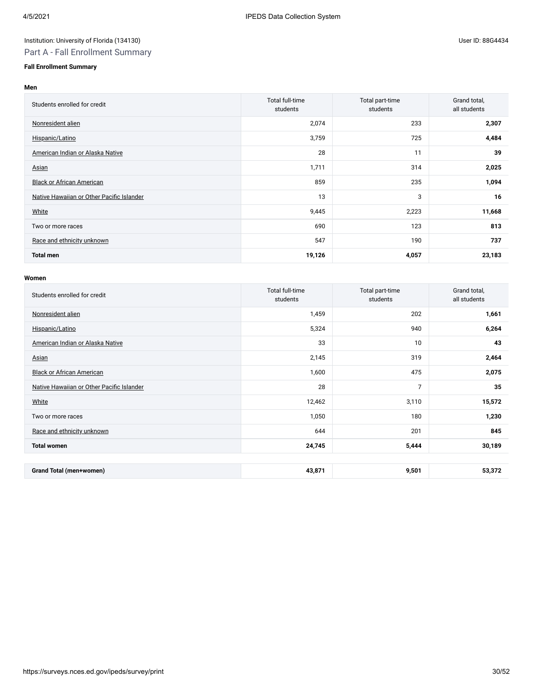## Part A - Fall Enrollment Summary

## **Fall Enrollment Summary**

#### **Men**

| Students enrolled for credit              | Total full-time<br>students | Total part-time<br>students | Grand total,<br>all students |
|-------------------------------------------|-----------------------------|-----------------------------|------------------------------|
| Nonresident alien                         | 2,074                       | 233                         | 2,307                        |
| Hispanic/Latino                           | 3,759                       | 725                         | 4,484                        |
| American Indian or Alaska Native          | 28                          | 11                          | 39                           |
| Asian                                     | 1,711                       | 314                         | 2,025                        |
| <b>Black or African American</b>          | 859                         | 235                         | 1,094                        |
| Native Hawaiian or Other Pacific Islander | 13                          | 3                           | 16                           |
| White                                     | 9,445                       | 2,223                       | 11,668                       |
| Two or more races                         | 690                         | 123                         | 813                          |
| Race and ethnicity unknown                | 547                         | 190                         | 737                          |
| <b>Total men</b>                          | 19,126                      | 4,057                       | 23,183                       |

| Students enrolled for credit              | Total full-time<br>students | Total part-time<br>students | Grand total,<br>all students |
|-------------------------------------------|-----------------------------|-----------------------------|------------------------------|
| Nonresident alien                         | 1,459                       | 202                         | 1,661                        |
| Hispanic/Latino                           | 5,324                       | 940                         | 6,264                        |
| American Indian or Alaska Native          | 33                          | 10                          | 43                           |
| Asian                                     | 2,145                       | 319                         | 2,464                        |
| <b>Black or African American</b>          | 1,600                       | 475                         | 2,075                        |
| Native Hawaiian or Other Pacific Islander | 28                          | $\overline{7}$              | 35                           |
| White                                     | 12,462                      | 3,110                       | 15,572                       |
| Two or more races                         | 1,050                       | 180                         | 1,230                        |
| Race and ethnicity unknown                | 644                         | 201                         | 845                          |
| <b>Total women</b>                        | 24,745                      | 5,444                       | 30,189                       |
|                                           |                             |                             |                              |
| Grand Total (men+women)                   | 43,871                      | 9,501                       | 53,372                       |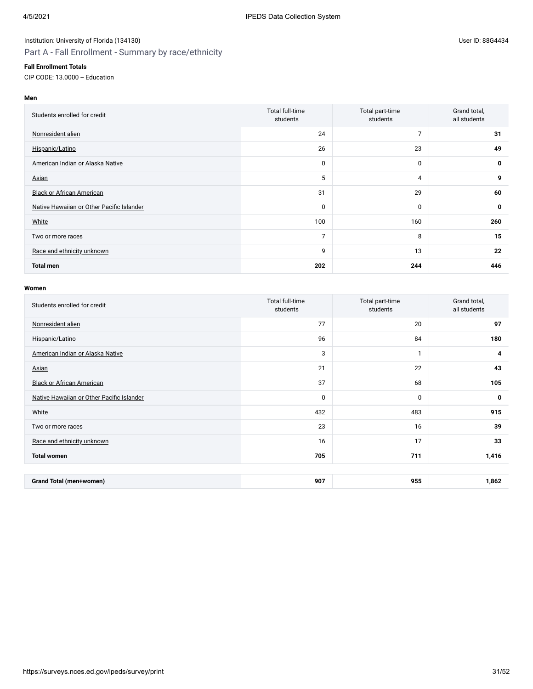## Part A - Fall Enrollment - Summary by race/ethnicity

#### **Fall Enrollment Totals**

CIP CODE: 13.0000 -- Education

## **Men**

| Students enrolled for credit              | Total full-time<br>students | Total part-time<br>students | Grand total,<br>all students |
|-------------------------------------------|-----------------------------|-----------------------------|------------------------------|
| Nonresident alien                         | 24                          | 7                           | 31                           |
| Hispanic/Latino                           | 26                          | 23                          | 49                           |
| American Indian or Alaska Native          | 0                           | $\mathbf 0$                 | $\mathbf 0$                  |
| Asian                                     | 5                           | 4                           | 9                            |
| <b>Black or African American</b>          | 31                          | 29                          | 60                           |
| Native Hawaiian or Other Pacific Islander | 0                           | $\mathbf 0$                 | $\mathbf 0$                  |
| White                                     | 100                         | 160                         | 260                          |
| Two or more races                         | 7                           | 8                           | 15                           |
| Race and ethnicity unknown                | 9                           | 13                          | 22                           |
| <b>Total men</b>                          | 202                         | 244                         | 446                          |

| Students enrolled for credit              | Total full-time<br>students | Total part-time<br>students | Grand total,<br>all students |
|-------------------------------------------|-----------------------------|-----------------------------|------------------------------|
| Nonresident alien                         | 77                          | 20                          | 97                           |
| Hispanic/Latino                           | 96                          | 84                          | 180                          |
| American Indian or Alaska Native          | 3                           | $\mathbf{1}$                | 4                            |
| Asian                                     | 21                          | 22                          | 43                           |
| <b>Black or African American</b>          | 37                          | 68                          | 105                          |
| Native Hawaiian or Other Pacific Islander | 0                           | $\mathbf 0$                 | 0                            |
| White                                     | 432                         | 483                         | 915                          |
| Two or more races                         | 23                          | 16                          | 39                           |
| Race and ethnicity unknown                | 16                          | 17                          | 33                           |
| <b>Total women</b>                        | 705                         | 711                         | 1,416                        |
|                                           |                             |                             |                              |
| <b>Grand Total (men+women)</b>            | 907                         | 955                         | 1,862                        |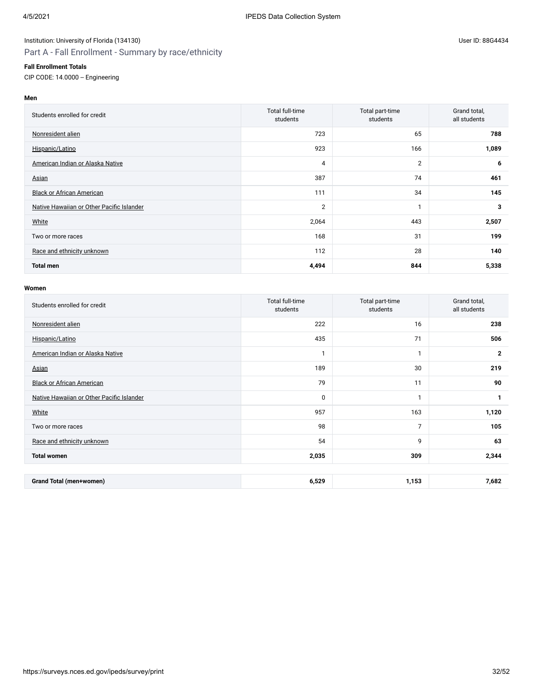## Part A - Fall Enrollment - Summary by race/ethnicity

#### **Fall Enrollment Totals**

CIP CODE: 14.0000 -- Engineering

## **Men**

| Students enrolled for credit              | Total full-time<br>students | Total part-time<br>students | Grand total,<br>all students |
|-------------------------------------------|-----------------------------|-----------------------------|------------------------------|
| Nonresident alien                         | 723                         | 65                          | 788                          |
| Hispanic/Latino                           | 923                         | 166                         | 1,089                        |
| American Indian or Alaska Native          | 4                           | 2                           | 6                            |
| Asian                                     | 387                         | 74                          | 461                          |
| <b>Black or African American</b>          | 111                         | 34                          | 145                          |
| Native Hawaiian or Other Pacific Islander | $\overline{2}$              | 1                           | 3                            |
| White                                     | 2,064                       | 443                         | 2,507                        |
| Two or more races                         | 168                         | 31                          | 199                          |
| Race and ethnicity unknown                | 112                         | 28                          | 140                          |
| <b>Total men</b>                          | 4,494                       | 844                         | 5,338                        |

| Students enrolled for credit              | Total full-time<br>students | Total part-time<br>students | Grand total,<br>all students |
|-------------------------------------------|-----------------------------|-----------------------------|------------------------------|
| Nonresident alien                         | 222                         | 16                          | 238                          |
| Hispanic/Latino                           | 435                         | 71                          | 506                          |
| American Indian or Alaska Native          | $\mathbf{1}$                | $\mathbf{1}$                | $\overline{2}$               |
| Asian                                     | 189                         | 30                          | 219                          |
| <b>Black or African American</b>          | 79                          | 11                          | 90                           |
| Native Hawaiian or Other Pacific Islander | 0                           | 1                           | 1                            |
| White                                     | 957                         | 163                         | 1,120                        |
| Two or more races                         | 98                          | $\overline{7}$              | 105                          |
| Race and ethnicity unknown                | 54                          | 9                           | 63                           |
| <b>Total women</b>                        | 2,035                       | 309                         | 2,344                        |
|                                           |                             |                             |                              |
| <b>Grand Total (men+women)</b>            | 6,529                       | 1,153                       | 7,682                        |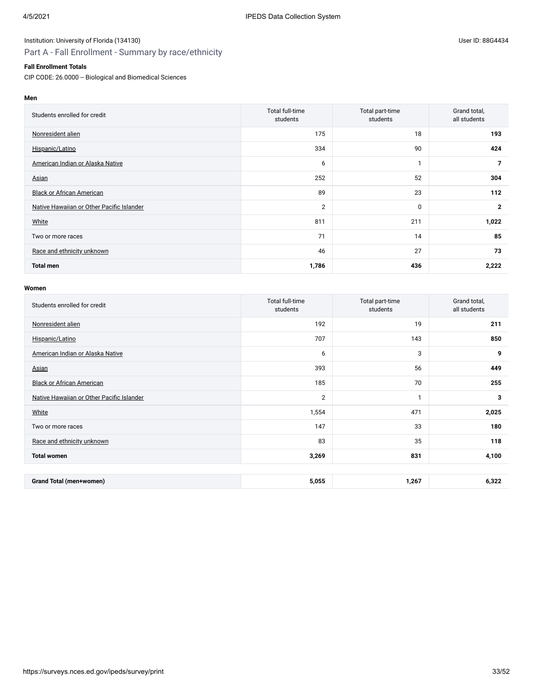## Part A - Fall Enrollment - Summary by race/ethnicity

### **Fall Enrollment Totals**

CIP CODE: 26.0000 -- Biological and Biomedical Sciences

**Men**

| Students enrolled for credit              | Total full-time<br>students | Total part-time<br>students | Grand total,<br>all students |
|-------------------------------------------|-----------------------------|-----------------------------|------------------------------|
| Nonresident alien                         | 175                         | 18                          | 193                          |
| Hispanic/Latino                           | 334                         | 90                          | 424                          |
| American Indian or Alaska Native          | 6                           |                             | $\overline{7}$               |
| Asian                                     | 252                         | 52                          | 304                          |
| <b>Black or African American</b>          | 89                          | 23                          | 112                          |
| Native Hawaiian or Other Pacific Islander | $\overline{2}$              | $\mathbf 0$                 | $\mathbf{2}$                 |
| White                                     | 811                         | 211                         | 1,022                        |
| Two or more races                         | 71                          | 14                          | 85                           |
| Race and ethnicity unknown                | 46                          | 27                          | 73                           |
| <b>Total men</b>                          | 1,786                       | 436                         | 2,222                        |

| Students enrolled for credit              | Total full-time<br>students | Total part-time<br>students | Grand total,<br>all students |
|-------------------------------------------|-----------------------------|-----------------------------|------------------------------|
| Nonresident alien                         | 192                         | 19                          | 211                          |
| Hispanic/Latino                           | 707                         | 143                         | 850                          |
| American Indian or Alaska Native          | 6                           | 3                           | 9                            |
| Asian                                     | 393                         | 56                          | 449                          |
| <b>Black or African American</b>          | 185                         | 70                          | 255                          |
| Native Hawaiian or Other Pacific Islander | $\overline{2}$              | $\mathbf{1}$                | 3                            |
| White                                     | 1,554                       | 471                         | 2,025                        |
| Two or more races                         | 147                         | 33                          | 180                          |
| Race and ethnicity unknown                | 83                          | 35                          | 118                          |
| <b>Total women</b>                        | 3,269                       | 831                         | 4,100                        |
|                                           |                             |                             |                              |
| <b>Grand Total (men+women)</b>            | 5,055                       | 1,267                       | 6,322                        |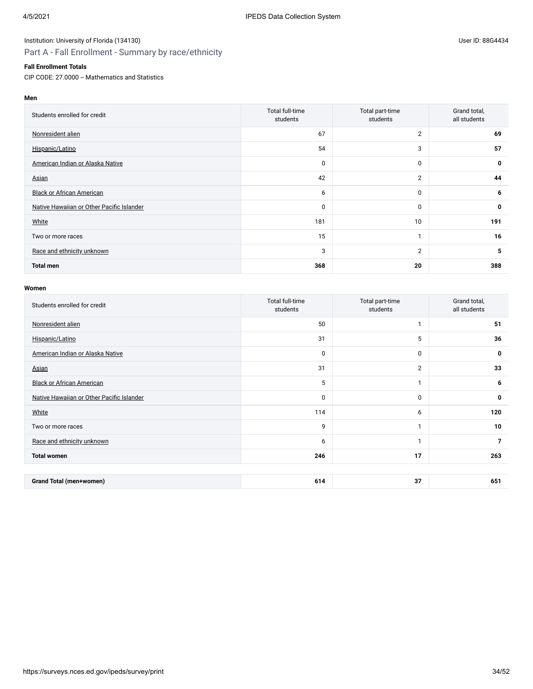## Part A - Fall Enrollment - Summary by race/ethnicity

### **Fall Enrollment Totals**

CIP CODE: 27.0000 -- Mathematics and Statistics

**Men**

| Students enrolled for credit              | Total full-time<br>students | Total part-time<br>students | Grand total,<br>all students |
|-------------------------------------------|-----------------------------|-----------------------------|------------------------------|
| Nonresident alien                         | 67                          | $\overline{2}$              | 69                           |
| Hispanic/Latino                           | 54                          | 3                           | 57                           |
| American Indian or Alaska Native          | 0                           | $\mathbf 0$                 | 0                            |
| Asian                                     | 42                          | $\overline{2}$              | 44                           |
| <b>Black or African American</b>          | 6                           | $\mathbf 0$                 | 6                            |
| Native Hawaiian or Other Pacific Islander | $\mathbf 0$                 | $\mathbf 0$                 | $\mathbf 0$                  |
| White                                     | 181                         | 10                          | 191                          |
| Two or more races                         | 15                          |                             | 16                           |
| Race and ethnicity unknown                | 3                           | $\overline{2}$              | 5                            |
| <b>Total men</b>                          | 368                         | 20                          | 388                          |

| Students enrolled for credit              | Total full-time<br>students | Total part-time<br>students | Grand total,<br>all students |
|-------------------------------------------|-----------------------------|-----------------------------|------------------------------|
| Nonresident alien                         | 50                          | $\mathbf{1}$                | 51                           |
| Hispanic/Latino                           | 31                          | 5                           | 36                           |
| American Indian or Alaska Native          | $\mathbf 0$                 | 0                           | 0                            |
| Asian                                     | 31                          | $\overline{2}$              | 33                           |
| <b>Black or African American</b>          | 5                           | $\mathbf{1}$                | 6                            |
| Native Hawaiian or Other Pacific Islander | 0                           | $\mathbf{0}$                | 0                            |
| White                                     | 114                         | 6                           | 120                          |
| Two or more races                         | 9                           | $\mathbf{1}$                | 10                           |
| Race and ethnicity unknown                | 6                           | $\mathbf{1}$                | $\overline{7}$               |
| <b>Total women</b>                        | 246                         | 17                          | 263                          |
|                                           |                             |                             |                              |
| <b>Grand Total (men+women)</b>            | 614                         | 37                          | 651                          |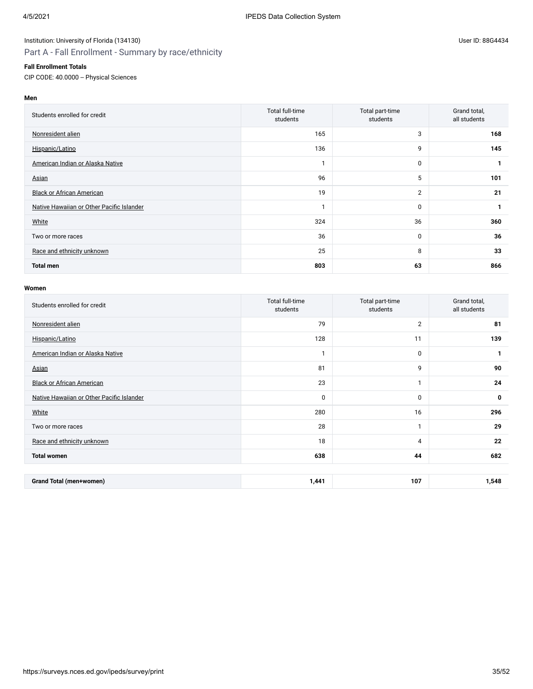## Part A - Fall Enrollment - Summary by race/ethnicity

#### **Fall Enrollment Totals**

CIP CODE: 40.0000 -- Physical Sciences

## **Men**

| Students enrolled for credit              | Total full-time<br>students | Total part-time<br>students | Grand total,<br>all students |
|-------------------------------------------|-----------------------------|-----------------------------|------------------------------|
| Nonresident alien                         | 165                         | 3                           | 168                          |
| Hispanic/Latino                           | 136                         | 9                           | 145                          |
| American Indian or Alaska Native          | h                           | 0                           |                              |
| Asian                                     | 96                          | 5                           | 101                          |
| <b>Black or African American</b>          | 19                          | $\overline{2}$              | 21                           |
| Native Hawaiian or Other Pacific Islander | 1                           | 0                           | 1                            |
| White                                     | 324                         | 36                          | 360                          |
| Two or more races                         | 36                          | 0                           | 36                           |
| Race and ethnicity unknown                | 25                          | 8                           | 33                           |
| <b>Total men</b>                          | 803                         | 63                          | 866                          |

| Students enrolled for credit              | Total full-time<br>students | Total part-time<br>students | Grand total,<br>all students |
|-------------------------------------------|-----------------------------|-----------------------------|------------------------------|
| Nonresident alien                         | 79                          | $\overline{2}$              | 81                           |
| Hispanic/Latino                           | 128                         | 11                          | 139                          |
| American Indian or Alaska Native          | $\mathbf{1}$                | 0                           | 1                            |
| Asian                                     | 81                          | 9                           | 90                           |
| <b>Black or African American</b>          | 23                          | $\mathbf{1}$                | 24                           |
| Native Hawaiian or Other Pacific Islander | 0                           | $\mathbf 0$                 | 0                            |
| White                                     | 280                         | 16                          | 296                          |
| Two or more races                         | 28                          | $\mathbf{1}$                | 29                           |
| Race and ethnicity unknown                | 18                          | 4                           | 22                           |
| <b>Total women</b>                        | 638                         | 44                          | 682                          |
|                                           |                             |                             |                              |
| <b>Grand Total (men+women)</b>            | 1,441                       | 107                         | 1,548                        |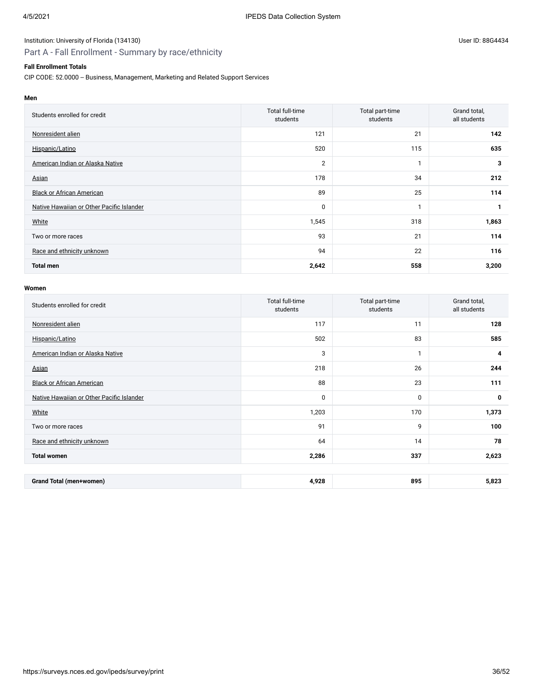## Part A - Fall Enrollment - Summary by race/ethnicity

### **Fall Enrollment Totals**

CIP CODE: 52.0000 -- Business, Management, Marketing and Related Support Services

| Students enrolled for credit              | <b>Total full-time</b><br>students | Total part-time<br>students | Grand total,<br>all students |
|-------------------------------------------|------------------------------------|-----------------------------|------------------------------|
| Nonresident alien                         | 121                                | 21                          | 142                          |
| Hispanic/Latino                           | 520                                | 115                         | 635                          |
| American Indian or Alaska Native          | 2                                  |                             | 3                            |
| Asian                                     | 178                                | 34                          | 212                          |
| <b>Black or African American</b>          | 89                                 | 25                          | 114                          |
| Native Hawaiian or Other Pacific Islander | 0                                  |                             | $\mathbf{1}$                 |
| White                                     | 1,545                              | 318                         | 1,863                        |
| Two or more races                         | 93                                 | 21                          | 114                          |
| Race and ethnicity unknown                | 94                                 | 22                          | 116                          |
| <b>Total men</b>                          | 2,642                              | 558                         | 3,200                        |

| Students enrolled for credit              | Total full-time<br>students | Total part-time<br>students | Grand total,<br>all students |
|-------------------------------------------|-----------------------------|-----------------------------|------------------------------|
| Nonresident alien                         | 117                         | 11                          | 128                          |
| Hispanic/Latino                           | 502                         | 83                          | 585                          |
| American Indian or Alaska Native          | 3                           | $\mathbf{1}$                | 4                            |
| Asian                                     | 218                         | 26                          | 244                          |
| <b>Black or African American</b>          | 88                          | 23                          | 111                          |
| Native Hawaiian or Other Pacific Islander | 0                           | $\mathbf 0$                 | 0                            |
| White                                     | 1,203                       | 170                         | 1,373                        |
| Two or more races                         | 91                          | 9                           | 100                          |
| Race and ethnicity unknown                | 64                          | 14                          | 78                           |
| <b>Total women</b>                        | 2,286                       | 337                         | 2,623                        |
|                                           |                             |                             |                              |
| Grand Total (men+women)                   | 4,928                       | 895                         | 5,823                        |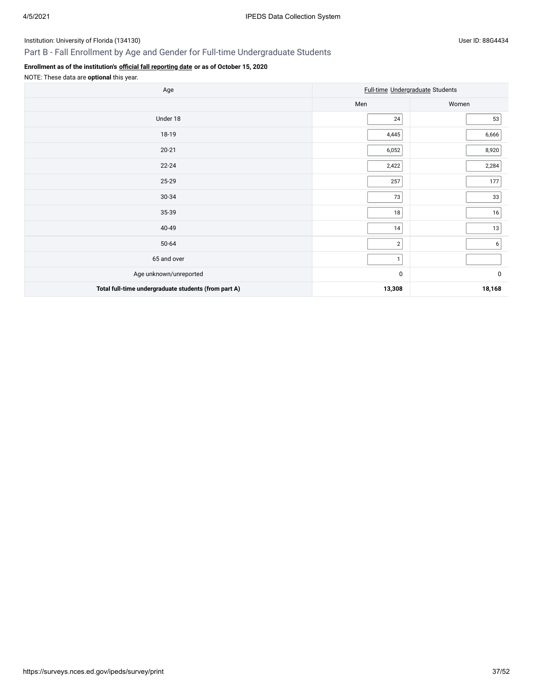## Part B - Fall Enrollment by Age and Gender for Full-time Undergraduate Students

## **Enrollment as of the institution's [official fall reporting date](javascript:openglossary(431)) or as of October 15, 2020**

| Age                                                  |              | Full-time Undergraduate Students |
|------------------------------------------------------|--------------|----------------------------------|
|                                                      | Men          | Women                            |
| Under 18                                             | 24           | 53                               |
| 18-19                                                | 4,445        | 6,666                            |
| $20 - 21$                                            | 6,052        | 8,920                            |
| $22 - 24$                                            | 2,422        | 2,284                            |
| 25-29                                                | 257          | 177                              |
| 30-34                                                | 73           | 33                               |
| 35-39                                                | 18           | $16$                             |
| 40-49                                                | $14$         | $13$                             |
| 50-64                                                | $2\vert$     | 6                                |
| 65 and over                                          | $\mathbf{1}$ |                                  |
| Age unknown/unreported                               | 0            | $\pmb{0}$                        |
| Total full-time undergraduate students (from part A) | 13,308       | 18,168                           |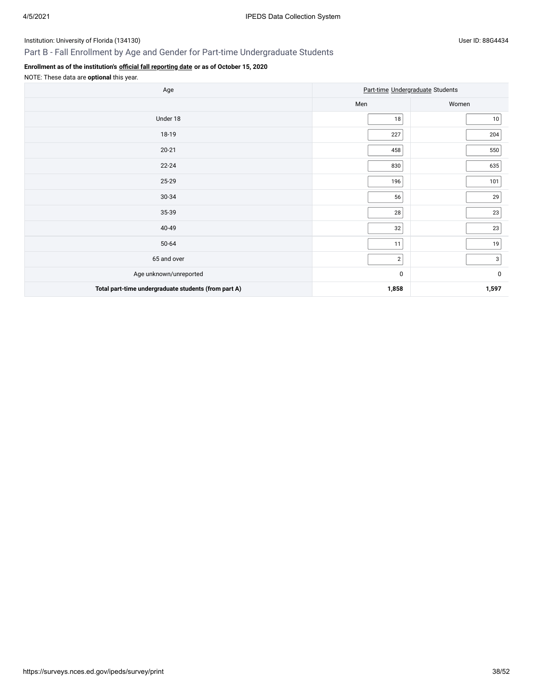## Part B - Fall Enrollment by Age and Gender for Part-time Undergraduate Students

## **Enrollment as of the institution's [official fall reporting date](javascript:openglossary(431)) or as of October 15, 2020**

| Age                                                  |                | Part-time Undergraduate Students |
|------------------------------------------------------|----------------|----------------------------------|
|                                                      | Men            | Women                            |
| Under 18                                             | 18             | $10$                             |
| 18-19                                                | 227            | 204                              |
| $20 - 21$                                            | 458            | 550                              |
| $22 - 24$                                            | 830            | 635                              |
| 25-29                                                | 196            | 101                              |
| 30-34                                                | 56             | 29                               |
| 35-39                                                | 28             | 23                               |
| 40-49                                                | 32             | 23                               |
| 50-64                                                | 11             | $19$                             |
| 65 and over                                          | $\overline{2}$ | 3 <sup>1</sup>                   |
| Age unknown/unreported                               | $\pmb{0}$      | 0                                |
| Total part-time undergraduate students (from part A) | 1,858          | 1,597                            |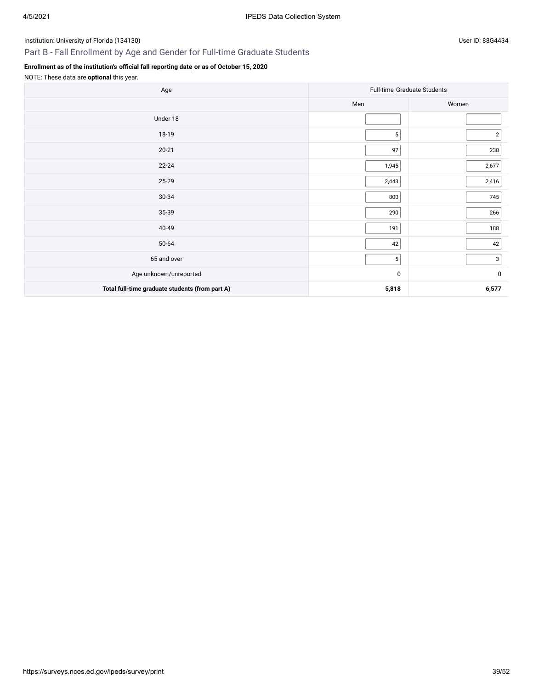## Part B - Fall Enrollment by Age and Gender for Full-time Graduate Students

## **Enrollment as of the institution's [official fall reporting date](javascript:openglossary(431)) or as of October 15, 2020**

| Age                                             |                | <b>Full-time Graduate Students</b> |
|-------------------------------------------------|----------------|------------------------------------|
|                                                 | Men            | Women                              |
| Under 18                                        |                |                                    |
| 18-19                                           | 5 <sup>1</sup> | $\sqrt{2}$                         |
| $20 - 21$                                       | 97             | 238                                |
| $22 - 24$                                       | 1,945          | 2,677                              |
| 25-29                                           | 2,443          | 2,416                              |
| 30-34                                           | 800            | 745                                |
| 35-39                                           | 290            | 266                                |
| 40-49                                           | 191            | 188                                |
| 50-64                                           | 42             | 42                                 |
| 65 and over                                     | $\sqrt{5}$     | 3                                  |
| Age unknown/unreported                          | $\pmb{0}$      | $\pmb{0}$                          |
| Total full-time graduate students (from part A) | 5,818          | 6,577                              |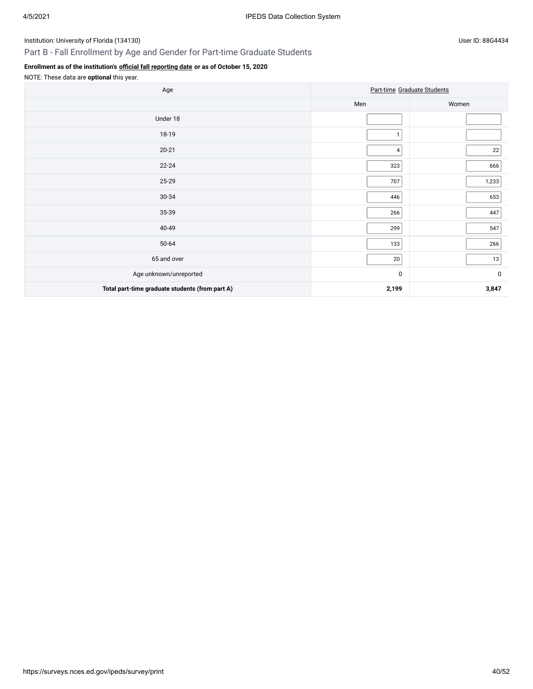## Part B - Fall Enrollment by Age and Gender for Part-time Graduate Students

## **Enrollment as of the institution's [official fall reporting date](javascript:openglossary(431)) or as of October 15, 2020**

| Age                                             |                | Part-time Graduate Students |
|-------------------------------------------------|----------------|-----------------------------|
|                                                 | Men            | Women                       |
| Under 18                                        |                |                             |
| 18-19                                           | $\mathbf{1}$   |                             |
| $20 - 21$                                       | $\overline{4}$ | 22                          |
| $22 - 24$                                       | 323            | 666                         |
| 25-29                                           | 707            | 1,233                       |
| 30-34                                           | 446            | 653                         |
| 35-39                                           | 266            | 447                         |
| 40-49                                           | 299            | 547                         |
| 50-64                                           | 133            | 266                         |
| 65 and over                                     | 20             | $13\,$                      |
| Age unknown/unreported                          | $\pmb{0}$      | 0                           |
| Total part-time graduate students (from part A) | 2,199          | 3,847                       |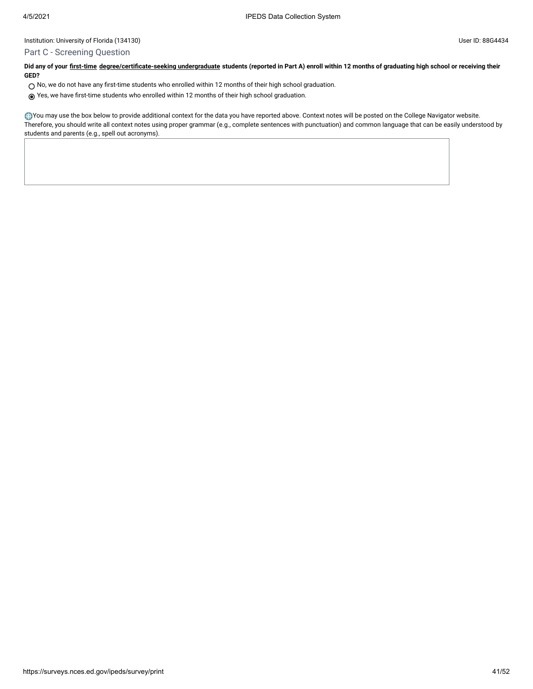#### Part C - Screening Question

**Did any of your [first-time](javascript:openglossary(241)) [degree/certificate-seeking undergraduate](javascript:openglossary(171)) students (reported in Part A) enroll within 12 months of graduating high school or receiving their GED?**

- $\bigcirc$  No, we do not have any first-time students who enrolled within 12 months of their high school graduation.
- Yes, we have first-time students who enrolled within 12 months of their high school graduation.

You may use the box below to provide additional context for the data you have reported above. Context notes will be posted on the College Navigator website. Therefore, you should write all context notes using proper grammar (e.g., complete sentences with punctuation) and common language that can be easily understood by students and parents (e.g., spell out acronyms).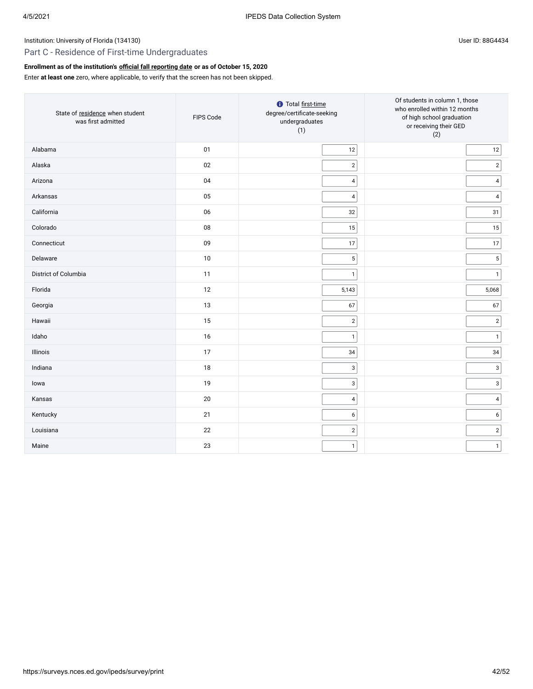## Part C - Residence of First-time Undergraduates

### **Enrollment as of the institution's [official fall reporting date](javascript:openglossary(431)) or as of October 15, 2020**

Enter **at least one** zero, where applicable, to verify that the screen has not been skipped.

| State of residence when student<br>was first admitted | FIPS Code | <b>O</b> Total first-time<br>degree/certificate-seeking<br>undergraduates<br>(1) | Of students in column 1, those<br>who enrolled within 12 months<br>of high school graduation<br>or receiving their GED<br>(2) |
|-------------------------------------------------------|-----------|----------------------------------------------------------------------------------|-------------------------------------------------------------------------------------------------------------------------------|
| Alabama                                               | 01        | $12\,$                                                                           | 12                                                                                                                            |
| Alaska                                                | 02        | $\overline{2}$                                                                   | $\sqrt{2}$                                                                                                                    |
| Arizona                                               | 04        | $\overline{\mathbf{4}}$                                                          | 4                                                                                                                             |
| Arkansas                                              | 05        | 4                                                                                | $\pmb{4}$                                                                                                                     |
| California                                            | 06        | 32                                                                               | 31                                                                                                                            |
| Colorado                                              | 08        | 15                                                                               | 15                                                                                                                            |
| Connecticut                                           | 09        | 17                                                                               | 17                                                                                                                            |
| Delaware                                              | 10        | 5                                                                                | $\mathbf 5$                                                                                                                   |
| District of Columbia                                  | 11        | $\mathbf{1}$                                                                     | $\mathbf{1}$                                                                                                                  |
| Florida                                               | 12        | 5,143                                                                            | 5,068                                                                                                                         |
| Georgia                                               | 13        | 67                                                                               | 67                                                                                                                            |
| Hawaii                                                | 15        | $\overline{c}$                                                                   | $\mathbf 2$                                                                                                                   |
| Idaho                                                 | 16        | $\mathbf{1}$                                                                     | $\mathbf{1}$                                                                                                                  |
| Illinois                                              | 17        | 34                                                                               | 34                                                                                                                            |
| Indiana                                               | 18        | 3                                                                                | $\mathsf 3$                                                                                                                   |
| lowa                                                  | 19        | 3                                                                                | 3                                                                                                                             |
| Kansas                                                | 20        | 4                                                                                | $\overline{\mathbf{4}}$                                                                                                       |
| Kentucky                                              | 21        | 6                                                                                | $\boldsymbol{6}$                                                                                                              |
| Louisiana                                             | 22        | $\mathbf{2}$                                                                     | $\sqrt{2}$                                                                                                                    |
| Maine                                                 | 23        | $\mathbf{1}$                                                                     | $\mathbf{1}$                                                                                                                  |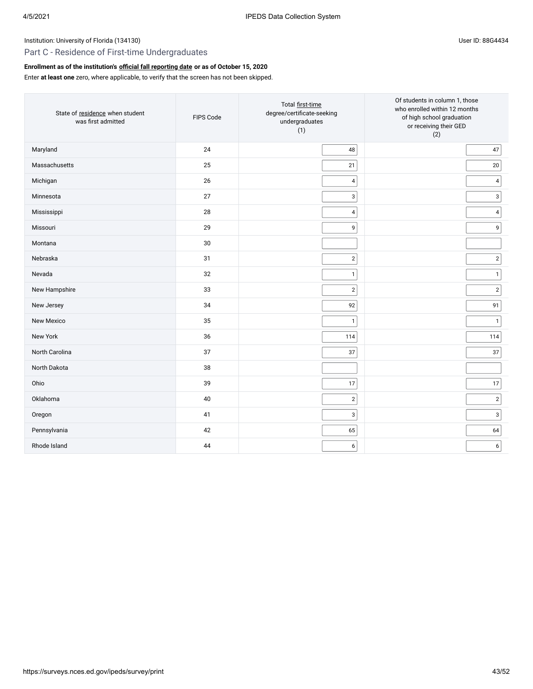## Part C - Residence of First-time Undergraduates

### **Enrollment as of the institution's [official fall reporting date](javascript:openglossary(431)) or as of October 15, 2020**

Enter **at least one** zero, where applicable, to verify that the screen has not been skipped.

| State of residence when student<br>was first admitted | FIPS Code | Total first-time<br>degree/certificate-seeking<br>undergraduates<br>(1) | Of students in column 1, those<br>who enrolled within 12 months<br>of high school graduation<br>or receiving their GED<br>(2) |
|-------------------------------------------------------|-----------|-------------------------------------------------------------------------|-------------------------------------------------------------------------------------------------------------------------------|
| Maryland                                              | 24        | $\sqrt{48}$                                                             | 47                                                                                                                            |
| Massachusetts                                         | 25        | 21                                                                      | $20\,$                                                                                                                        |
| Michigan                                              | 26        | $\overline{\mathbf{4}}$                                                 | $\sqrt{4}$                                                                                                                    |
| Minnesota                                             | 27        | 3                                                                       | 3                                                                                                                             |
| Mississippi                                           | 28        | 4                                                                       | $\sqrt{4}$                                                                                                                    |
| Missouri                                              | 29        | 9                                                                       | 9                                                                                                                             |
| Montana                                               | $30\,$    |                                                                         |                                                                                                                               |
| Nebraska                                              | 31        | $\overline{2}$                                                          | $\sqrt{2}$                                                                                                                    |
| Nevada                                                | 32        | $\mathbf{1}$                                                            | $\mathbf{1}$                                                                                                                  |
| New Hampshire                                         | 33        | $\overline{2}$                                                          | $\sqrt{2}$                                                                                                                    |
| New Jersey                                            | 34        | 92                                                                      | 91                                                                                                                            |
| New Mexico                                            | 35        | $\mathbf{1}$                                                            | $\mathbf{1}$                                                                                                                  |
| New York                                              | 36        | 114                                                                     | 114                                                                                                                           |
| North Carolina                                        | 37        | $37\,$                                                                  | 37                                                                                                                            |
| North Dakota                                          | 38        |                                                                         |                                                                                                                               |
| Ohio                                                  | 39        | $17$                                                                    | 17                                                                                                                            |
| Oklahoma                                              | 40        | $\overline{2}$                                                          | $\sqrt{2}$                                                                                                                    |
| Oregon                                                | 41        | 3                                                                       | 3                                                                                                                             |
| Pennsylvania                                          | 42        | 65                                                                      | 64                                                                                                                            |
| Rhode Island                                          | 44        | 6                                                                       | $\boldsymbol{6}$                                                                                                              |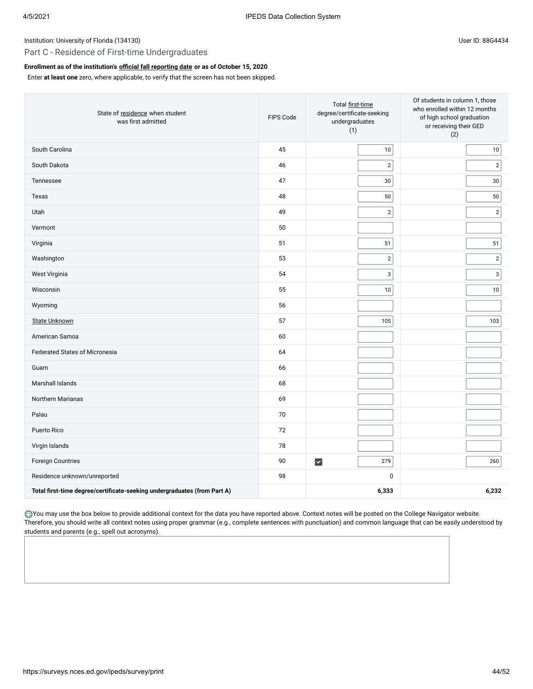## Part C - Residence of First-time Undergraduates

## **Enrollment as of the institution's [official fall reporting date](javascript:openglossary(431)) or as of October 15, 2020**

Enter **at least one** zero, where applicable, to verify that the screen has not been skipped.

| State of residence when student<br>was first admitted                    | FIPS Code | Total first-time<br>degree/certificate-seeking<br>undergraduates<br>(1) | Of students in column 1, those<br>who enrolled within 12 months<br>of high school graduation<br>or receiving their GED<br>(2) |
|--------------------------------------------------------------------------|-----------|-------------------------------------------------------------------------|-------------------------------------------------------------------------------------------------------------------------------|
| South Carolina                                                           | 45        | $10\,$                                                                  | $10\,$                                                                                                                        |
| South Dakota                                                             | 46        | $\overline{2}$                                                          | $\overline{2}$                                                                                                                |
| Tennessee                                                                | 47        | 30                                                                      | $30\,$                                                                                                                        |
| Texas                                                                    | 48        | $50\,$                                                                  | 50                                                                                                                            |
| Utah                                                                     | 49        | $\overline{2}$                                                          | $\sqrt{2}$                                                                                                                    |
| Vermont                                                                  | 50        |                                                                         |                                                                                                                               |
| Virginia                                                                 | 51        | 51                                                                      | 51                                                                                                                            |
| Washington                                                               | 53        | $\overline{2}$                                                          | $\mathbf 2$                                                                                                                   |
| West Virginia                                                            | 54        | $\mathsf 3$                                                             | $\ensuremath{\mathsf{3}}$                                                                                                     |
| Wisconsin                                                                | 55        | 10                                                                      | 10                                                                                                                            |
| Wyoming                                                                  | 56        |                                                                         |                                                                                                                               |
| <b>State Unknown</b>                                                     | 57        | 105                                                                     | 103                                                                                                                           |
| American Samoa                                                           | 60        |                                                                         |                                                                                                                               |
| <b>Federated States of Micronesia</b>                                    | 64        |                                                                         |                                                                                                                               |
| Guam                                                                     | 66        |                                                                         |                                                                                                                               |
| Marshall Islands                                                         | 68        |                                                                         |                                                                                                                               |
| Northern Marianas                                                        | 69        |                                                                         |                                                                                                                               |
| Palau                                                                    | 70        |                                                                         |                                                                                                                               |
| Puerto Rico                                                              | 72        |                                                                         |                                                                                                                               |
| Virgin Islands                                                           | 78        |                                                                         |                                                                                                                               |
| Foreign Countries                                                        | 90        | $\blacktriangledown$<br>279                                             | 260                                                                                                                           |
| Residence unknown/unreported                                             | 98        | $\mathbf 0$                                                             |                                                                                                                               |
| Total first-time degree/certificate-seeking undergraduates (from Part A) |           | 6,333                                                                   | 6,232                                                                                                                         |

You may use the box below to provide additional context for the data you have reported above. Context notes will be posted on the College Navigator website. Therefore, you should write all context notes using proper grammar (e.g., complete sentences with punctuation) and common language that can be easily understood by students and parents (e.g., spell out acronyms).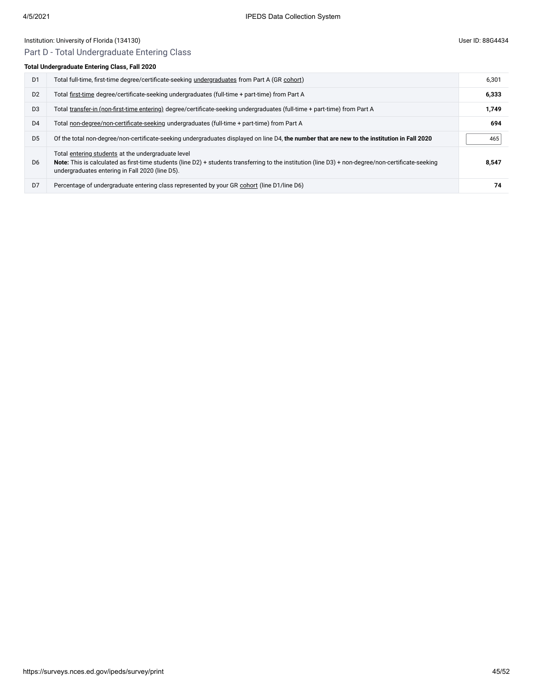## Part D - Total Undergraduate Entering Class

## **Total Undergraduate Entering Class, Fall 2020**

| D <sub>1</sub> | Total full-time, first-time degree/certificate-seeking undergraduates from Part A (GR cohort)                                                                                                                                                                | 6,301 |
|----------------|--------------------------------------------------------------------------------------------------------------------------------------------------------------------------------------------------------------------------------------------------------------|-------|
| D <sub>2</sub> | Total first-time degree/certificate-seeking undergraduates (full-time + part-time) from Part A                                                                                                                                                               | 6,333 |
| D <sub>3</sub> | Total transfer-in (non-first-time entering) degree/certificate-seeking undergraduates (full-time + part-time) from Part A                                                                                                                                    | 1,749 |
| D <sub>4</sub> | Total non-degree/non-certificate-seeking undergraduates (full-time + part-time) from Part A                                                                                                                                                                  | 694   |
| D <sub>5</sub> | Of the total non-degree/non-certificate-seeking undergraduates displayed on line D4, the number that are new to the institution in Fall 2020                                                                                                                 | 465   |
| D <sub>6</sub> | Total entering students at the undergraduate level<br>Note: This is calculated as first-time students (line D2) + students transferring to the institution (line D3) + non-degree/non-certificate-seeking<br>undergraduates entering in Fall 2020 (line D5). | 8.547 |
| D <sub>7</sub> | Percentage of undergraduate entering class represented by your GR cohort (line D1/line D6)                                                                                                                                                                   | 74    |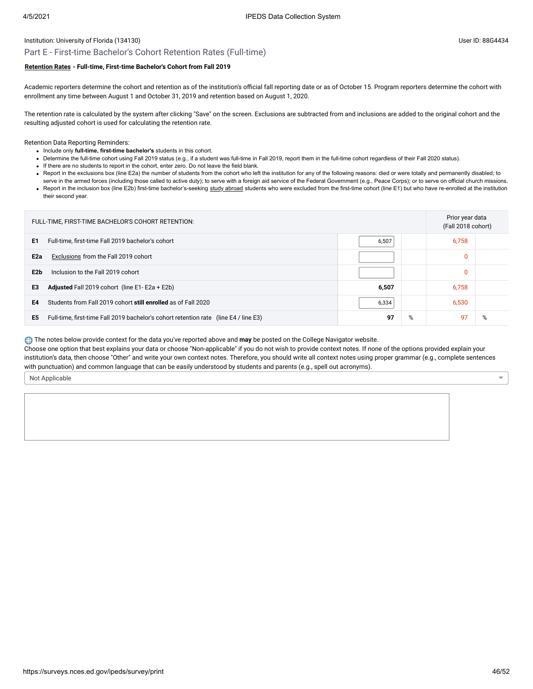## Part E - First-time Bachelor's Cohort Retention Rates (Full-time)

## **[Retention Rates](javascript:openglossary(772)) - Full-time, First-time Bachelor's Cohort from Fall 2019**

Academic reporters determine the cohort and retention as of the institution's official fall reporting date or as of October 15. Program reporters determine the cohort with enrollment any time between August 1 and October 31, 2019 and retention based on August 1, 2020.

The retention rate is calculated by the system after clicking "Save" on the screen. Exclusions are subtracted from and inclusions are added to the original cohort and the resulting adjusted cohort is used for calculating the retention rate.

Retention Data Reporting Reminders:

- Include only **full-time, first-time bachelor's** students in this cohort.
- Determine the full-time cohort using Fall 2019 status (e.g., if a student was full-time in Fall 2019, report them in the full-time cohort regardless of their Fall 2020 status).
- If there are no students to report in the cohort, enter zero. Do not leave the field blank.
- . Report in the exclusions box (line E2a) the number of students from the cohort who left the institution for any of the following reasons: died or were totally and permanently disabled; to serve in the armed forces (including those called to active duty); to serve with a foreign aid service of the Federal Government (e.g., Peace Corps); or to serve on official church missions.
- Report in the inclusion box (line E2b) first-time bachelor's-seeking [study abroad](javascript:openglossary(714)) students who were excluded from the first-time cohort (line E1) but who have re-enrolled at the institution their second year.

| FULL-TIME, FIRST-TIME BACHELOR'S COHORT RETENTION:                                         |         | Prior year data<br>(Fall 2018 cohort) |   |
|--------------------------------------------------------------------------------------------|---------|---------------------------------------|---|
| E1<br>Full-time, first-time Fall 2019 bachelor's cohort                                    | 6,507   | 6,758                                 |   |
| E <sub>2a</sub><br>Exclusions from the Fall 2019 cohort                                    |         | 0                                     |   |
| E2b<br>Inclusion to the Fall 2019 cohort                                                   |         | 0                                     |   |
| <b>Adjusted</b> Fall 2019 cohort (line $E1 - E2a + E2b$ )<br>E3                            | 6,507   | 6,758                                 |   |
| E4<br>Students from Fall 2019 cohort still enrolled as of Fall 2020                        | 6,530   |                                       |   |
| E5<br>Full-time, first-time Fall 2019 bachelor's cohort retention rate (line E4 / line E3) | 97<br>% | 97                                    | % |

The notes below provide context for the data you've reported above and **may** be posted on the College Navigator website.

Choose one option that best explains your data or choose "Non-applicable" if you do not wish to provide context notes. If none of the options provided explain your institution's data, then choose "Other" and write your own context notes. Therefore, you should write all context notes using proper grammar (e.g., complete sentences with punctuation) and common language that can be easily understood by students and parents (e.g., spell out acronyms).

Not Applicable

 $\overline{\phantom{0}}$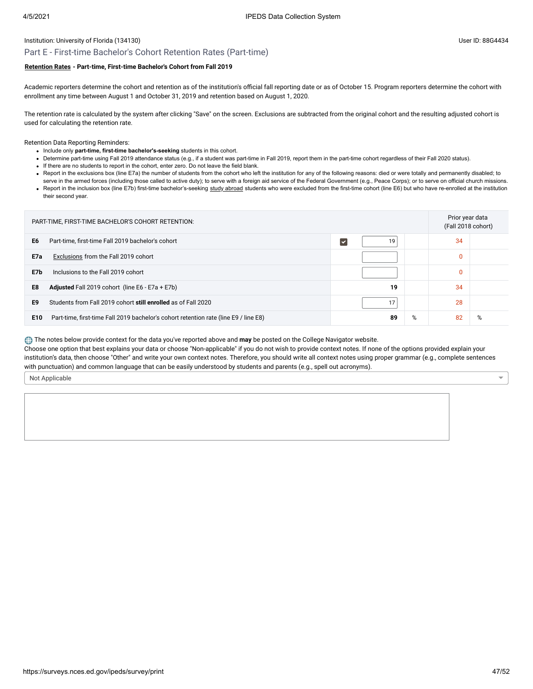## Part E - First-time Bachelor's Cohort Retention Rates (Part-time)

## **[Retention Rates](javascript:openglossary(772)) - Part-time, First-time Bachelor's Cohort from Fall 2019**

Academic reporters determine the cohort and retention as of the institution's official fall reporting date or as of October 15. Program reporters determine the cohort with enrollment any time between August 1 and October 31, 2019 and retention based on August 1, 2020.

The retention rate is calculated by the system after clicking "Save" on the screen. Exclusions are subtracted from the original cohort and the resulting adjusted cohort is used for calculating the retention rate.

Retention Data Reporting Reminders:

- Include only **part-time, first-time bachelor's-seeking** students in this cohort.
- Determine part-time using Fall 2019 attendance status (e.g., if a student was part-time in Fall 2019, report them in the part-time cohort regardless of their Fall 2020 status).
- If there are no students to report in the cohort, enter zero. Do not leave the field blank.
- . Report in the exclusions box (line E7a) the number of students from the cohort who left the institution for any of the following reasons: died or were totally and permanently disabled; to
- serve in the armed forces (including those called to active duty); to serve with a foreign aid service of the Federal Government (e.g., Peace Corps); or to serve on official church missions. • Report in the inclusion box (line E7b) first-time bachelor's-seeking [study abroad](javascript:openglossary(714)) students who were excluded from the first-time cohort (line E6) but who have re-enrolled at the institution their second year.

| PART-TIME, FIRST-TIME BACHELOR'S COHORT RETENTION: |                                                                                      |  |    | Prior year data<br>(Fall 2018 cohort) |    |   |
|----------------------------------------------------|--------------------------------------------------------------------------------------|--|----|---------------------------------------|----|---|
| E <sub>6</sub>                                     | Part-time, first-time Fall 2019 bachelor's cohort                                    |  | 19 |                                       | 34 |   |
| E7a                                                | Exclusions from the Fall 2019 cohort                                                 |  |    |                                       | 0  |   |
| E7b                                                | Inclusions to the Fall 2019 cohort                                                   |  |    |                                       | 0  |   |
| E8                                                 | <b>Adjusted</b> Fall 2019 cohort (line E6 - E7a + E7b)                               |  | 19 |                                       | 34 |   |
| E9                                                 | Students from Fall 2019 cohort still enrolled as of Fall 2020                        |  | 17 |                                       | 28 |   |
| E10                                                | Part-time, first-time Fall 2019 bachelor's cohort retention rate (line E9 / line E8) |  | 89 | %                                     | 82 | % |

The notes below provide context for the data you've reported above and **may** be posted on the College Navigator website.

Choose one option that best explains your data or choose "Non-applicable" if you do not wish to provide context notes. If none of the options provided explain your institution's data, then choose "Other" and write your own context notes. Therefore, you should write all context notes using proper grammar (e.g., complete sentences with punctuation) and common language that can be easily understood by students and parents (e.g., spell out acronyms).

Not Applicable

 $\overline{\phantom{0}}$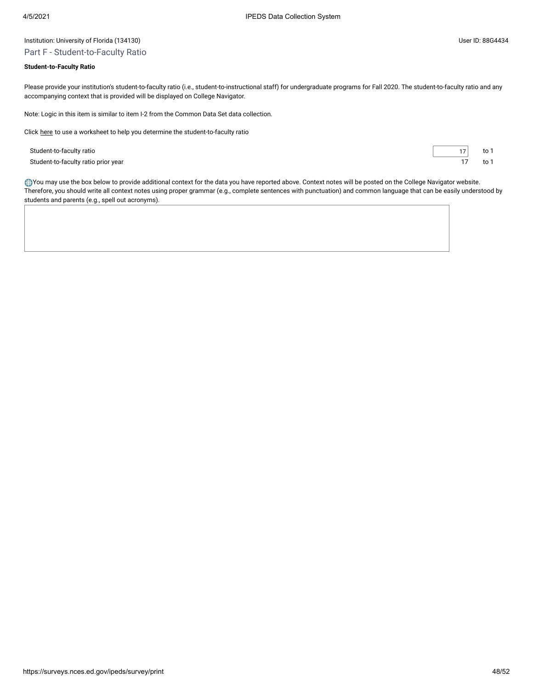## Institution: University of Florida (134130) User ID: 88G4434 Part F - Student-to-Faculty Ratio

## **Student-to-Faculty Ratio**

Please provide your institution's student-to-faculty ratio (i.e., student-to-instructional staff) for undergraduate programs for Fall 2020. The student-to-faculty ratio and any accompanying context that is provided will be displayed on College Navigator.

Note: Logic in this item is similar to item I-2 from the Common Data Set data collection.

Click [here](javascript:openEFworksheet(1)) to use a worksheet to help you determine the student-to-faculty ratio

Student-to-faculty ratio 17 to 1 Student-to-faculty ratio prior year 17 to 1

You may use the box below to provide additional context for the data you have reported above. Context notes will be posted on the College Navigator website. Therefore, you should write all context notes using proper grammar (e.g., complete sentences with punctuation) and common language that can be easily understood by students and parents (e.g., spell out acronyms).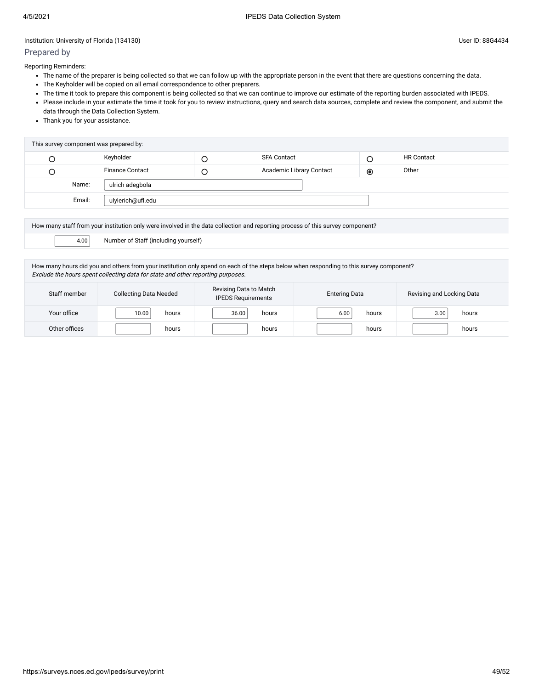## Prepared by

Reporting Reminders:

- The name of the preparer is being collected so that we can follow up with the appropriate person in the event that there are questions concerning the data.
- The Keyholder will be copied on all email correspondence to other preparers.
- The time it took to prepare this component is being collected so that we can continue to improve our estimate of the reporting burden associated with IPEDS.
- Please include in your estimate the time it took for you to review instructions, query and search data sources, complete and review the component, and submit the data through the Data Collection System.
- Thank you for your assistance.

| This survey component was prepared by: |        |                        |  |                                 |                |                   |  |
|----------------------------------------|--------|------------------------|--|---------------------------------|----------------|-------------------|--|
|                                        |        | Keyholder              |  | <b>SFA Contact</b>              | ر              | <b>HR Contact</b> |  |
| ب                                      |        | <b>Finance Contact</b> |  | <b>Academic Library Contact</b> | $\circledcirc$ | Other             |  |
|                                        | Name:  | ulrich adegbola        |  |                                 |                |                   |  |
|                                        | Email: | ulylerich@ufl.edu      |  |                                 |                |                   |  |
|                                        |        |                        |  |                                 |                |                   |  |

How many staff from your institution only were involved in the data collection and reporting process of this survey component?

4.00 Number of Staff (including yourself)

How many hours did you and others from your institution only spend on each of the steps below when responding to this survey component? Exclude the hours spent collecting data for state and other reporting purposes.

| Staff member  | <b>Collecting Data Needed</b> | Revising Data to Match<br><b>IPEDS Requirements</b> | <b>Entering Data</b> | Revising and Locking Data |  |
|---------------|-------------------------------|-----------------------------------------------------|----------------------|---------------------------|--|
| Your office   | 10.00<br>hours                | 36.00<br>hours                                      | 6.00<br>hours        | 3.00<br>hours             |  |
| Other offices | hours                         | hours                                               | hours                | hours                     |  |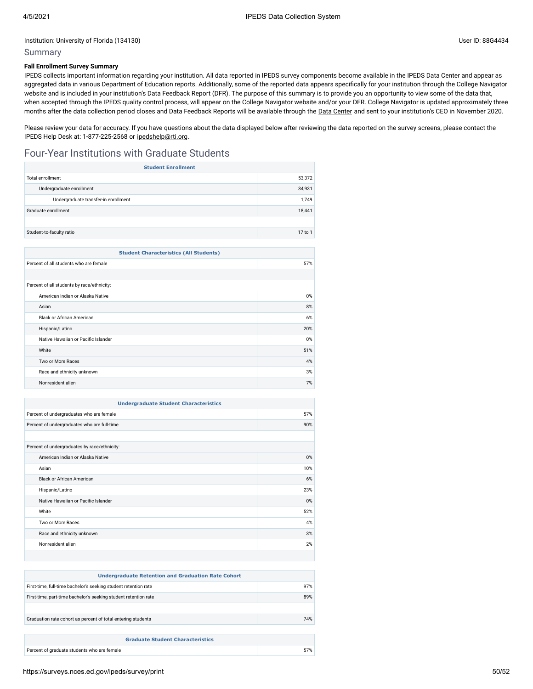### Summary

#### **Fall Enrollment Survey Summary**

IPEDS collects important information regarding your institution. All data reported in IPEDS survey components become available in the IPEDS Data Center and appear as aggregated data in various Department of Education reports. Additionally, some of the reported data appears specifically for your institution through the College Navigator website and is included in your institution's Data Feedback Report (DFR). The purpose of this summary is to provide you an opportunity to view some of the data that, when accepted through the IPEDS quality control process, will appear on the College Navigator website and/or your DFR. College Navigator is updated approximately three months after the data collection period closes and Data Feedback Reports will be available through the Data [Center](https://nces.ed.gov/ipeds/use-the-data) and sent to your institution's CEO in November 2020.

Please review your data for accuracy. If you have questions about the data displayed below after reviewing the data reported on the survey screens, please contact the IPEDS Help Desk at: 1-877-225-2568 or [ipedshelp@rti.org.](mailto:ipedshelp@rti.org)

## Four-Year Institutions with Graduate Students

| <b>Student Enrollment</b>            |         |  |  |
|--------------------------------------|---------|--|--|
| 53,372<br><b>Total enrollment</b>    |         |  |  |
| Undergraduate enrollment             | 34,931  |  |  |
| Undergraduate transfer-in enrollment | 1,749   |  |  |
| Graduate enrollment                  | 18,441  |  |  |
|                                      |         |  |  |
| Student-to-faculty ratio             | 17 to 1 |  |  |
|                                      |         |  |  |

| <b>Student Characteristics (All Students)</b> |       |  |  |
|-----------------------------------------------|-------|--|--|
| 57%<br>Percent of all students who are female |       |  |  |
|                                               |       |  |  |
| Percent of all students by race/ethnicity:    |       |  |  |
| American Indian or Alaska Native              | $0\%$ |  |  |
| Asian                                         | 8%    |  |  |
| Black or African American                     | 6%    |  |  |
| Hispanic/Latino                               | 20%   |  |  |
| Native Hawaiian or Pacific Islander           | $0\%$ |  |  |
| White                                         | 51%   |  |  |
| Two or More Races                             | 4%    |  |  |
| Race and ethnicity unknown                    | 3%    |  |  |
| Nonresident alien                             | 7%    |  |  |

| <b>Undergraduate Student Characteristics</b> |       |  |  |
|----------------------------------------------|-------|--|--|
| Percent of undergraduates who are female     | 57%   |  |  |
| Percent of undergraduates who are full-time  | 90%   |  |  |
|                                              |       |  |  |
| Percent of undergraduates by race/ethnicity: |       |  |  |
| American Indian or Alaska Native             | $0\%$ |  |  |
| Asian                                        | 10%   |  |  |
| <b>Black or African American</b>             | 6%    |  |  |
| Hispanic/Latino                              | 23%   |  |  |
| Native Hawaiian or Pacific Islander          | $0\%$ |  |  |
| White                                        | 52%   |  |  |
| Two or More Races                            | 4%    |  |  |
| Race and ethnicity unknown                   | 3%    |  |  |
| Nonresident alien                            | 2%    |  |  |
|                                              |       |  |  |

| <b>Undergraduate Retention and Graduation Rate Cohort</b>       |     |  |  |
|-----------------------------------------------------------------|-----|--|--|
| First-time, full-time bachelor's seeking student retention rate | 97% |  |  |
| First-time, part-time bachelor's seeking student retention rate | 89% |  |  |
|                                                                 |     |  |  |
| Graduation rate cohort as percent of total entering students    | 74% |  |  |
|                                                                 |     |  |  |
| <b>Graduate Student Characteristics</b>                         |     |  |  |
| Percent of graduate students who are female                     | 57% |  |  |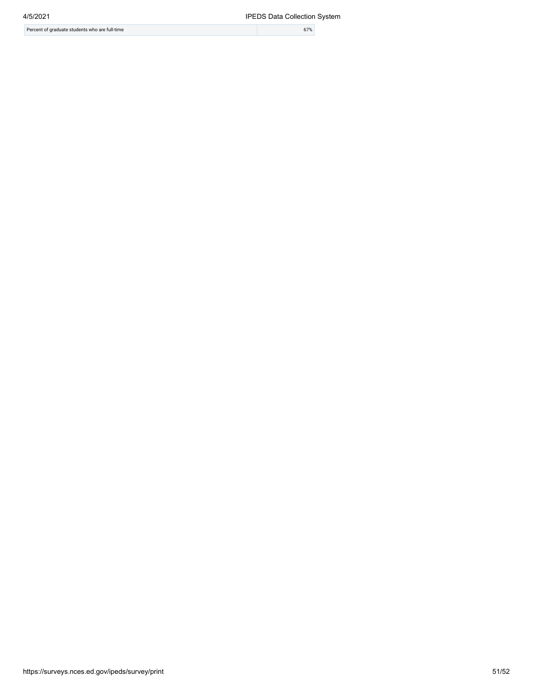| 4/5/2021                                       | <b>IPEDS Data Collection</b> |
|------------------------------------------------|------------------------------|
| Percent of graduate students who are full-time | 67%                          |